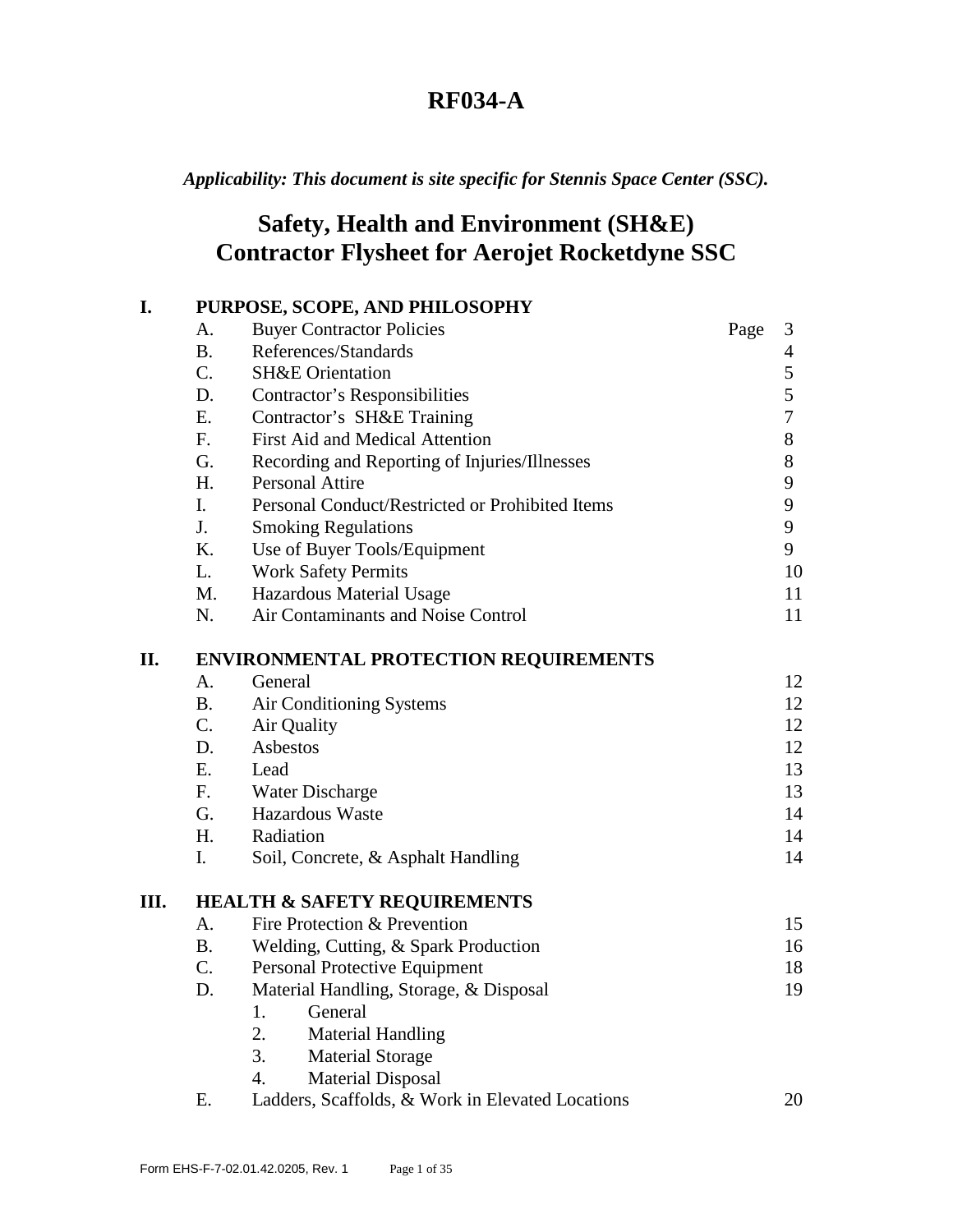*Applicability: This document is site specific for Stennis Space Center (SSC).* 

# **Safety, Health and Environment (SH&E) Contractor Flysheet for Aerojet Rocketdyne SSC**

| I.  | PURPOSE, SCOPE, AND PHILOSOPHY               |                                                  |      |                  |  |  |
|-----|----------------------------------------------|--------------------------------------------------|------|------------------|--|--|
|     | A.                                           | <b>Buyer Contractor Policies</b>                 | Page | 3                |  |  |
|     | <b>B.</b>                                    | References/Standards                             |      | 4                |  |  |
|     | $C_{\cdot}$                                  | <b>SH&amp;E</b> Orientation                      |      | 5                |  |  |
|     | D.                                           | <b>Contractor's Responsibilities</b>             |      | 5                |  |  |
|     | E.                                           | Contractor's SH&E Training                       |      | $\boldsymbol{7}$ |  |  |
|     | F <sub>1</sub>                               | First Aid and Medical Attention                  |      | $8\,$            |  |  |
|     | G.                                           | Recording and Reporting of Injuries/Illnesses    |      | 8                |  |  |
|     | H.                                           | <b>Personal Attire</b>                           |      | 9                |  |  |
|     | $\mathbf{I}$ .                               | Personal Conduct/Restricted or Prohibited Items  |      | 9                |  |  |
|     | J.                                           | <b>Smoking Regulations</b>                       |      | $\boldsymbol{9}$ |  |  |
|     | K.                                           | Use of Buyer Tools/Equipment                     |      | 9                |  |  |
|     | L.                                           | <b>Work Safety Permits</b>                       |      | 10               |  |  |
|     | M.                                           | Hazardous Material Usage                         |      | 11               |  |  |
|     | N.                                           | Air Contaminants and Noise Control               |      | 11               |  |  |
| II. | <b>ENVIRONMENTAL PROTECTION REQUIREMENTS</b> |                                                  |      |                  |  |  |
|     | A.                                           | General                                          |      | 12               |  |  |
|     | <b>B.</b>                                    | Air Conditioning Systems                         |      | 12               |  |  |
|     | C.                                           | Air Quality                                      |      | 12               |  |  |
|     | D.                                           | Asbestos                                         |      | 12               |  |  |
|     | E.                                           | Lead                                             |      | 13               |  |  |
|     | F <sub>r</sub>                               | Water Discharge                                  |      | 13               |  |  |
|     | G.                                           | <b>Hazardous Waste</b>                           |      | 14               |  |  |
|     | H.                                           | Radiation                                        |      | 14               |  |  |
|     | $\mathbf{I}$ .                               | Soil, Concrete, & Asphalt Handling               |      | 14               |  |  |
| Ш.  | <b>HEALTH &amp; SAFETY REQUIREMENTS</b>      |                                                  |      |                  |  |  |
|     | А.                                           | Fire Protection & Prevention                     |      | 15               |  |  |
|     | <b>B.</b>                                    | Welding, Cutting, & Spark Production             |      | 16               |  |  |
|     | C.                                           | Personal Protective Equipment                    |      | 18               |  |  |
|     | D.                                           | Material Handling, Storage, & Disposal           |      | 19               |  |  |
|     |                                              | 1.<br>General                                    |      |                  |  |  |
|     |                                              | 2.<br><b>Material Handling</b>                   |      |                  |  |  |
|     |                                              | 3.<br><b>Material Storage</b>                    |      |                  |  |  |
|     |                                              | 4.<br><b>Material Disposal</b>                   |      |                  |  |  |
|     | Ε.                                           | Ladders, Scaffolds, & Work in Elevated Locations |      | 20               |  |  |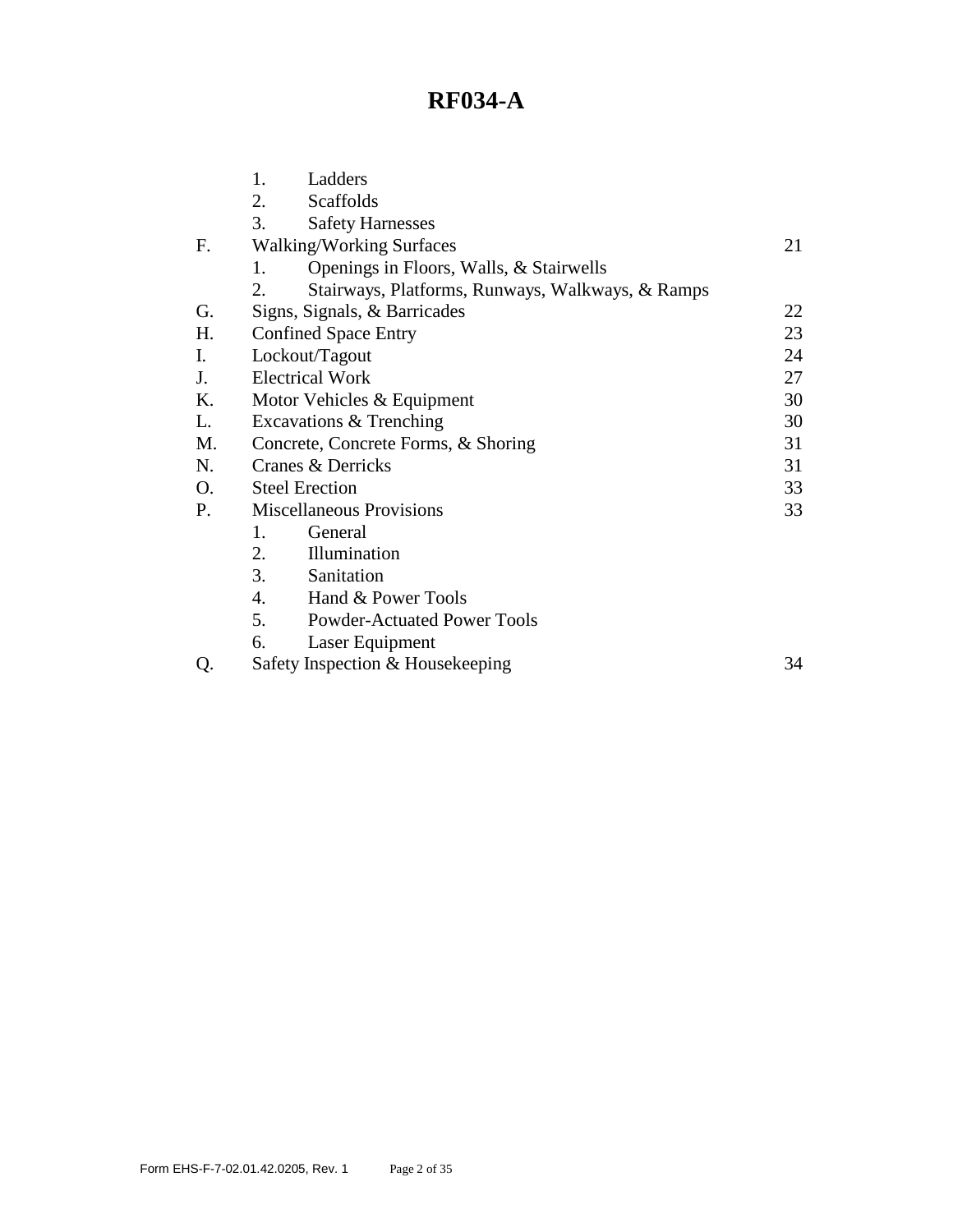|    | 1.<br>Ladders                                          |    |  |  |
|----|--------------------------------------------------------|----|--|--|
|    | 2.<br>Scaffolds                                        |    |  |  |
|    | 3.<br><b>Safety Harnesses</b>                          |    |  |  |
| F. | <b>Walking/Working Surfaces</b>                        |    |  |  |
|    | Openings in Floors, Walls, & Stairwells<br>1.          |    |  |  |
|    | 2.<br>Stairways, Platforms, Runways, Walkways, & Ramps |    |  |  |
| G. | Signs, Signals, & Barricades                           | 22 |  |  |
| Η. | <b>Confined Space Entry</b>                            | 23 |  |  |
| I. | Lockout/Tagout                                         |    |  |  |
| J. | <b>Electrical Work</b>                                 |    |  |  |
| K. | Motor Vehicles & Equipment                             |    |  |  |
| L. | Excavations & Trenching                                | 30 |  |  |
| M. | Concrete, Concrete Forms, & Shoring                    |    |  |  |
| N. | Cranes & Derricks                                      |    |  |  |
| O. | <b>Steel Erection</b>                                  |    |  |  |
| P. | <b>Miscellaneous Provisions</b>                        |    |  |  |
|    | $\mathbf{1}$ .<br>General                              |    |  |  |
|    | 2.<br>Illumination                                     |    |  |  |
|    | 3.<br>Sanitation                                       |    |  |  |
|    | 4.<br>Hand & Power Tools                               |    |  |  |
|    | 5.<br><b>Powder-Actuated Power Tools</b>               |    |  |  |
|    | 6.<br>Laser Equipment                                  |    |  |  |
| Q. | Safety Inspection & Housekeeping<br>34                 |    |  |  |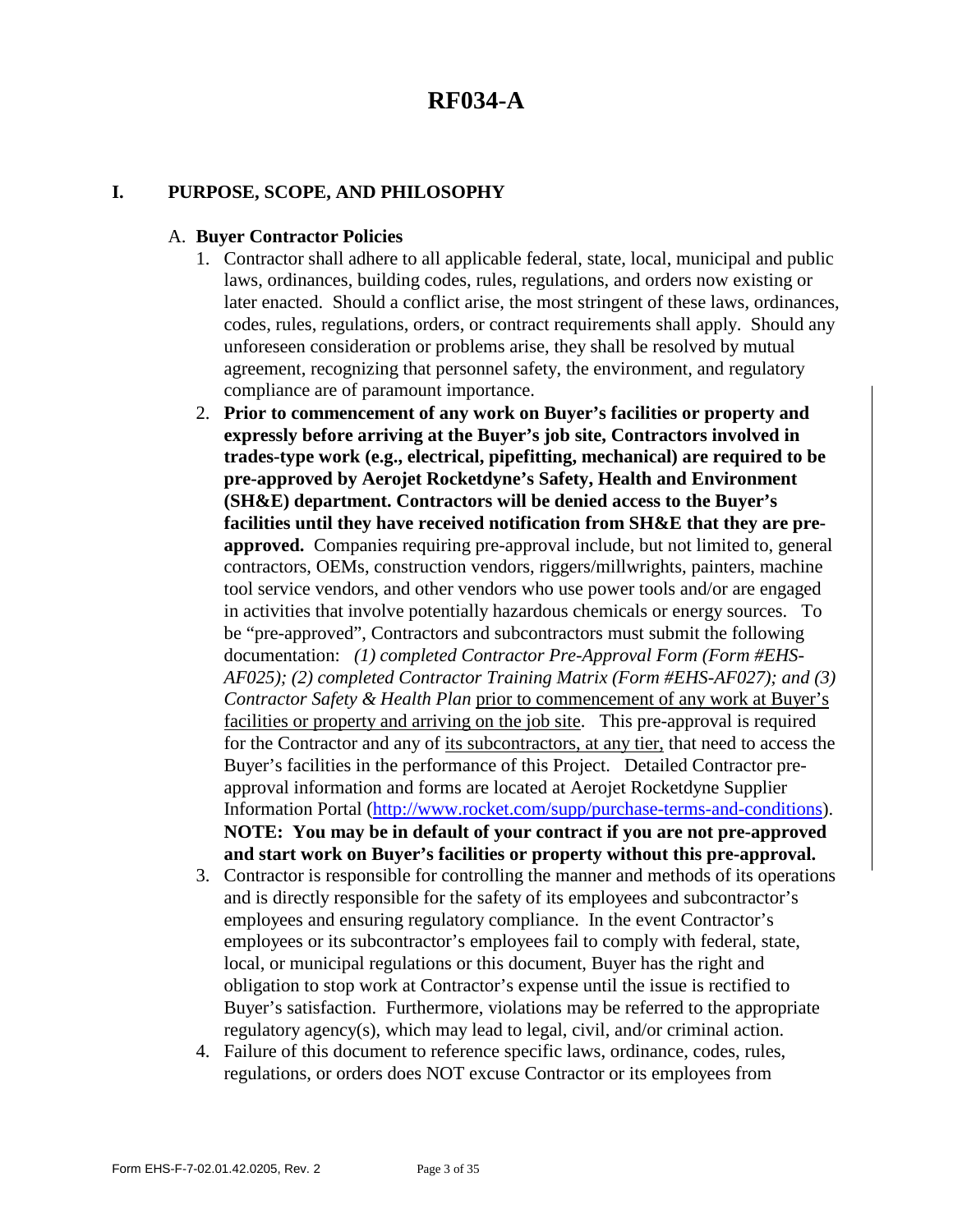#### **I. PURPOSE, SCOPE, AND PHILOSOPHY**

#### A. **Buyer Contractor Policies**

- 1. Contractor shall adhere to all applicable federal, state, local, municipal and public laws, ordinances, building codes, rules, regulations, and orders now existing or later enacted. Should a conflict arise, the most stringent of these laws, ordinances, codes, rules, regulations, orders, or contract requirements shall apply. Should any unforeseen consideration or problems arise, they shall be resolved by mutual agreement, recognizing that personnel safety, the environment, and regulatory compliance are of paramount importance.
- 2. **Prior to commencement of any work on Buyer's facilities or property and expressly before arriving at the Buyer's job site, Contractors involved in trades-type work (e.g., electrical, pipefitting, mechanical) are required to be pre-approved by Aerojet Rocketdyne's Safety, Health and Environment (SH&E) department. Contractors will be denied access to the Buyer's facilities until they have received notification from SH&E that they are preapproved.** Companies requiring pre-approval include, but not limited to, general contractors, OEMs, construction vendors, riggers/millwrights, painters, machine tool service vendors, and other vendors who use power tools and/or are engaged in activities that involve potentially hazardous chemicals or energy sources. To be "pre-approved", Contractors and subcontractors must submit the following documentation: *(1) completed Contractor Pre-Approval Form (Form #EHS-AF025); (2) completed Contractor Training Matrix (Form #EHS-AF027); and (3) Contractor Safety & Health Plan* prior to commencement of any work at Buyer's facilities or property and arriving on the job site. This pre-approval is required for the Contractor and any of its subcontractors, at any tier, that need to access the Buyer's facilities in the performance of this Project. Detailed Contractor preapproval information and forms are located at Aerojet Rocketdyne Supplier Information Portal [\(http://www.rocket.com/supp/purchase-terms-and-condition](http://www.rocket.com/supp/purchase-terms-and-conditions)s). **NOTE: You may be in default of your contract if you are not pre-approved and start work on Buyer's facilities or property without this pre-approval.**
- 3. Contractor is responsible for controlling the manner and methods of its operations and is directly responsible for the safety of its employees and subcontractor's employees and ensuring regulatory compliance. In the event Contractor's employees or its subcontractor's employees fail to comply with federal, state, local, or municipal regulations or this document, Buyer has the right and obligation to stop work at Contractor's expense until the issue is rectified to Buyer's satisfaction. Furthermore, violations may be referred to the appropriate regulatory agency(s), which may lead to legal, civil, and/or criminal action.
- 4. Failure of this document to reference specific laws, ordinance, codes, rules, regulations, or orders does NOT excuse Contractor or its employees from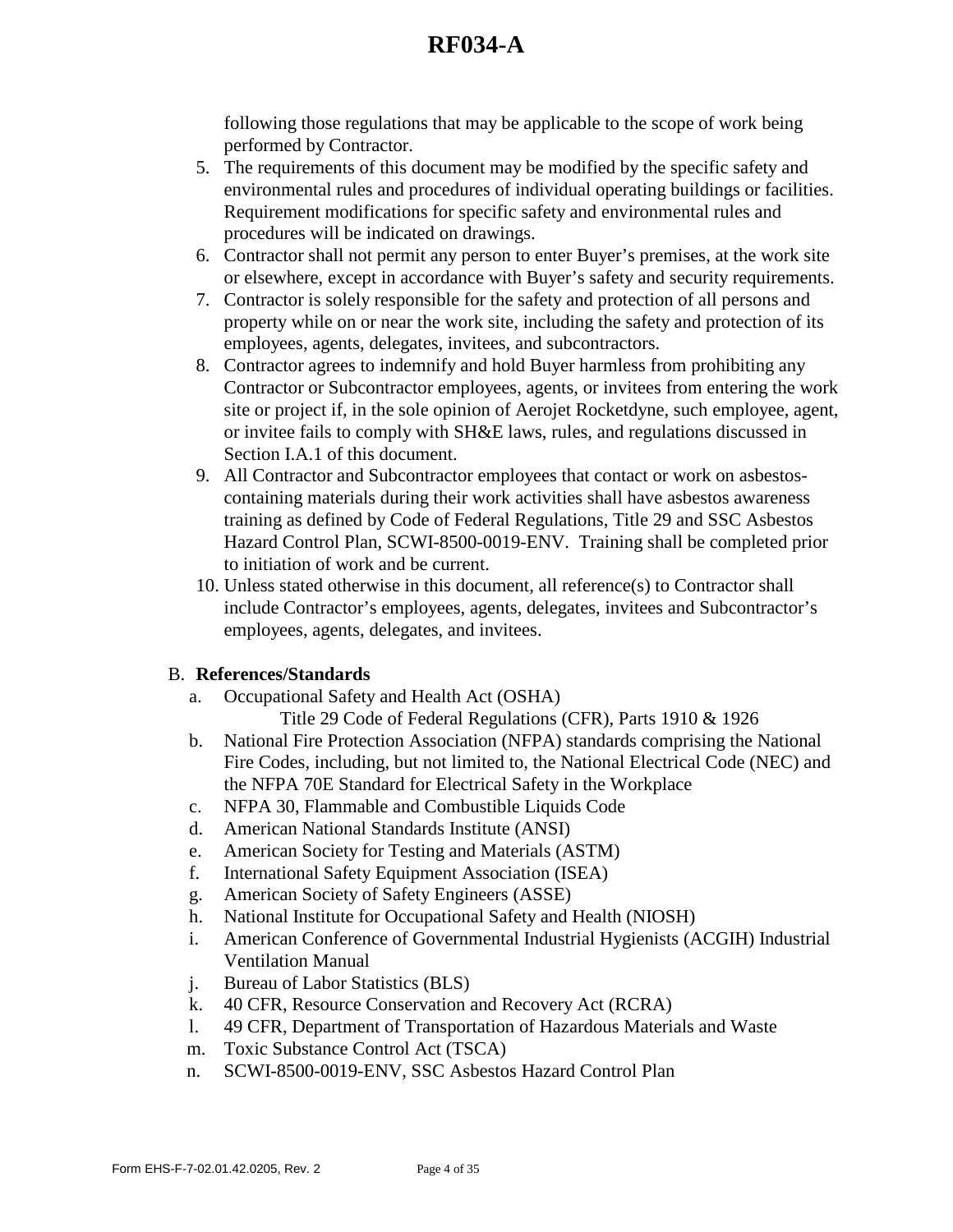following those regulations that may be applicable to the scope of work being performed by Contractor.

- 5. The requirements of this document may be modified by the specific safety and environmental rules and procedures of individual operating buildings or facilities. Requirement modifications for specific safety and environmental rules and procedures will be indicated on drawings.
- 6. Contractor shall not permit any person to enter Buyer's premises, at the work site or elsewhere, except in accordance with Buyer's safety and security requirements.
- 7. Contractor is solely responsible for the safety and protection of all persons and property while on or near the work site, including the safety and protection of its employees, agents, delegates, invitees, and subcontractors.
- 8. Contractor agrees to indemnify and hold Buyer harmless from prohibiting any Contractor or Subcontractor employees, agents, or invitees from entering the work site or project if, in the sole opinion of Aerojet Rocketdyne, such employee, agent, or invitee fails to comply with SH&E laws, rules, and regulations discussed in Section I.A.1 of this document.
- 9. All Contractor and Subcontractor employees that contact or work on asbestoscontaining materials during their work activities shall have asbestos awareness training as defined by Code of Federal Regulations, Title 29 and SSC Asbestos Hazard Control Plan, SCWI-8500-0019-ENV. Training shall be completed prior to initiation of work and be current.
- 10. Unless stated otherwise in this document, all reference(s) to Contractor shall include Contractor's employees, agents, delegates, invitees and Subcontractor's employees, agents, delegates, and invitees.

### B. **References/Standards**

- a. Occupational Safety and Health Act (OSHA) Title 29 Code of Federal Regulations (CFR), Parts 1910 & 1926
- b. National Fire Protection Association (NFPA) standards comprising the National Fire Codes, including, but not limited to, the National Electrical Code (NEC) and the NFPA 70E Standard for Electrical Safety in the Workplace
- c. NFPA 30, Flammable and Combustible Liquids Code
- d. American National Standards Institute (ANSI)
- e. American Society for Testing and Materials (ASTM)
- f. International Safety Equipment Association (ISEA)
- g. American Society of Safety Engineers (ASSE)
- h. National Institute for Occupational Safety and Health (NIOSH)
- i. American Conference of Governmental Industrial Hygienists (ACGIH) Industrial Ventilation Manual
- j. Bureau of Labor Statistics (BLS)
- k. 40 CFR, Resource Conservation and Recovery Act (RCRA)
- l. 49 CFR, Department of Transportation of Hazardous Materials and Waste
- m. Toxic Substance Control Act (TSCA)
- n. SCWI-8500-0019-ENV, SSC Asbestos Hazard Control Plan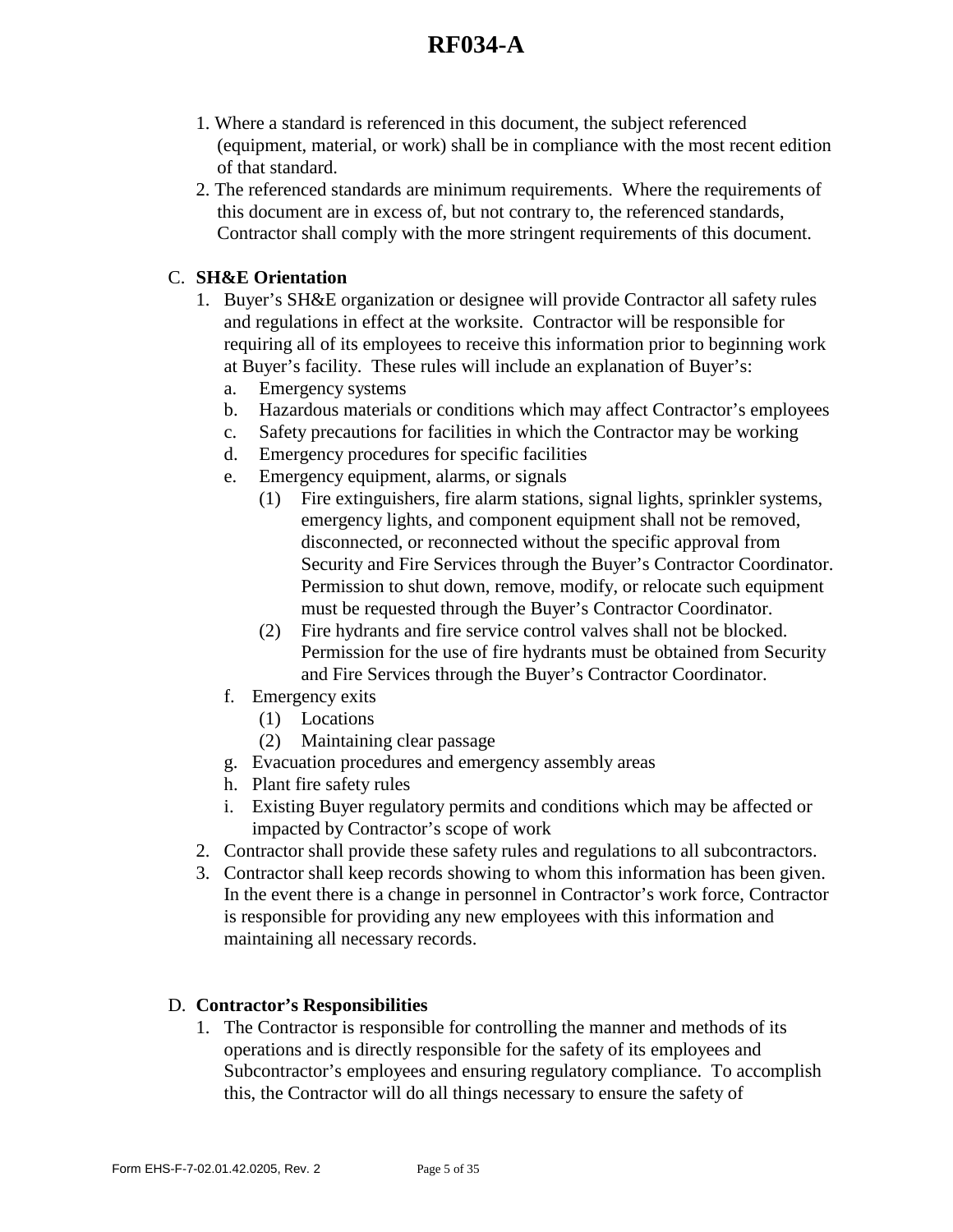- 1. Where a standard is referenced in this document, the subject referenced (equipment, material, or work) shall be in compliance with the most recent edition of that standard.
- 2. The referenced standards are minimum requirements. Where the requirements of this document are in excess of, but not contrary to, the referenced standards, Contractor shall comply with the more stringent requirements of this document.

### C. **SH&E Orientation**

- 1. Buyer's SH&E organization or designee will provide Contractor all safety rules and regulations in effect at the worksite. Contractor will be responsible for requiring all of its employees to receive this information prior to beginning work at Buyer's facility. These rules will include an explanation of Buyer's:
	- a. Emergency systems
	- b. Hazardous materials or conditions which may affect Contractor's employees
	- c. Safety precautions for facilities in which the Contractor may be working
	- d. Emergency procedures for specific facilities
	- e. Emergency equipment, alarms, or signals
		- (1) Fire extinguishers, fire alarm stations, signal lights, sprinkler systems, emergency lights, and component equipment shall not be removed, disconnected, or reconnected without the specific approval from Security and Fire Services through the Buyer's Contractor Coordinator. Permission to shut down, remove, modify, or relocate such equipment must be requested through the Buyer's Contractor Coordinator.
		- (2) Fire hydrants and fire service control valves shall not be blocked. Permission for the use of fire hydrants must be obtained from Security and Fire Services through the Buyer's Contractor Coordinator.
	- f. Emergency exits
		- (1) Locations
		- (2) Maintaining clear passage
	- g. Evacuation procedures and emergency assembly areas
	- h. Plant fire safety rules
	- i. Existing Buyer regulatory permits and conditions which may be affected or impacted by Contractor's scope of work
- 2. Contractor shall provide these safety rules and regulations to all subcontractors.
- 3. Contractor shall keep records showing to whom this information has been given. In the event there is a change in personnel in Contractor's work force, Contractor is responsible for providing any new employees with this information and maintaining all necessary records.

### D. **Contractor's Responsibilities**

1. The Contractor is responsible for controlling the manner and methods of its operations and is directly responsible for the safety of its employees and Subcontractor's employees and ensuring regulatory compliance. To accomplish this, the Contractor will do all things necessary to ensure the safety of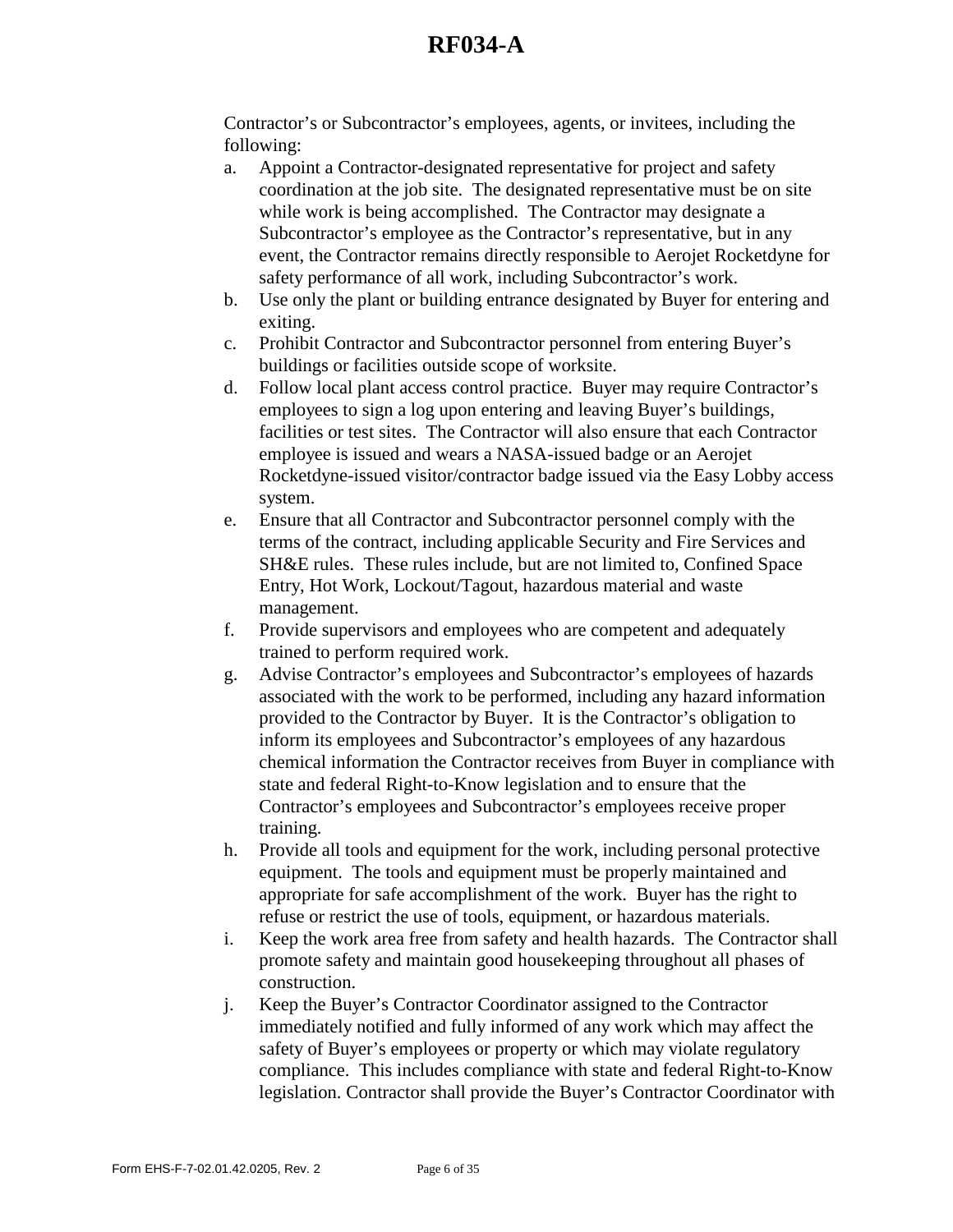Contractor's or Subcontractor's employees, agents, or invitees, including the following:

- a. Appoint a Contractor-designated representative for project and safety coordination at the job site. The designated representative must be on site while work is being accomplished. The Contractor may designate a Subcontractor's employee as the Contractor's representative, but in any event, the Contractor remains directly responsible to Aerojet Rocketdyne for safety performance of all work, including Subcontractor's work.
- b. Use only the plant or building entrance designated by Buyer for entering and exiting.
- c. Prohibit Contractor and Subcontractor personnel from entering Buyer's buildings or facilities outside scope of worksite.
- d. Follow local plant access control practice. Buyer may require Contractor's employees to sign a log upon entering and leaving Buyer's buildings, facilities or test sites. The Contractor will also ensure that each Contractor employee is issued and wears a NASA-issued badge or an Aerojet Rocketdyne-issued visitor/contractor badge issued via the Easy Lobby access system.
- e. Ensure that all Contractor and Subcontractor personnel comply with the terms of the contract, including applicable Security and Fire Services and SH&E rules. These rules include, but are not limited to, Confined Space Entry, Hot Work, Lockout/Tagout, hazardous material and waste management.
- f. Provide supervisors and employees who are competent and adequately trained to perform required work.
- g. Advise Contractor's employees and Subcontractor's employees of hazards associated with the work to be performed, including any hazard information provided to the Contractor by Buyer. It is the Contractor's obligation to inform its employees and Subcontractor's employees of any hazardous chemical information the Contractor receives from Buyer in compliance with state and federal Right-to-Know legislation and to ensure that the Contractor's employees and Subcontractor's employees receive proper training.
- h. Provide all tools and equipment for the work, including personal protective equipment. The tools and equipment must be properly maintained and appropriate for safe accomplishment of the work. Buyer has the right to refuse or restrict the use of tools, equipment, or hazardous materials.
- i. Keep the work area free from safety and health hazards. The Contractor shall promote safety and maintain good housekeeping throughout all phases of construction.
- j. Keep the Buyer's Contractor Coordinator assigned to the Contractor immediately notified and fully informed of any work which may affect the safety of Buyer's employees or property or which may violate regulatory compliance. This includes compliance with state and federal Right-to-Know legislation. Contractor shall provide the Buyer's Contractor Coordinator with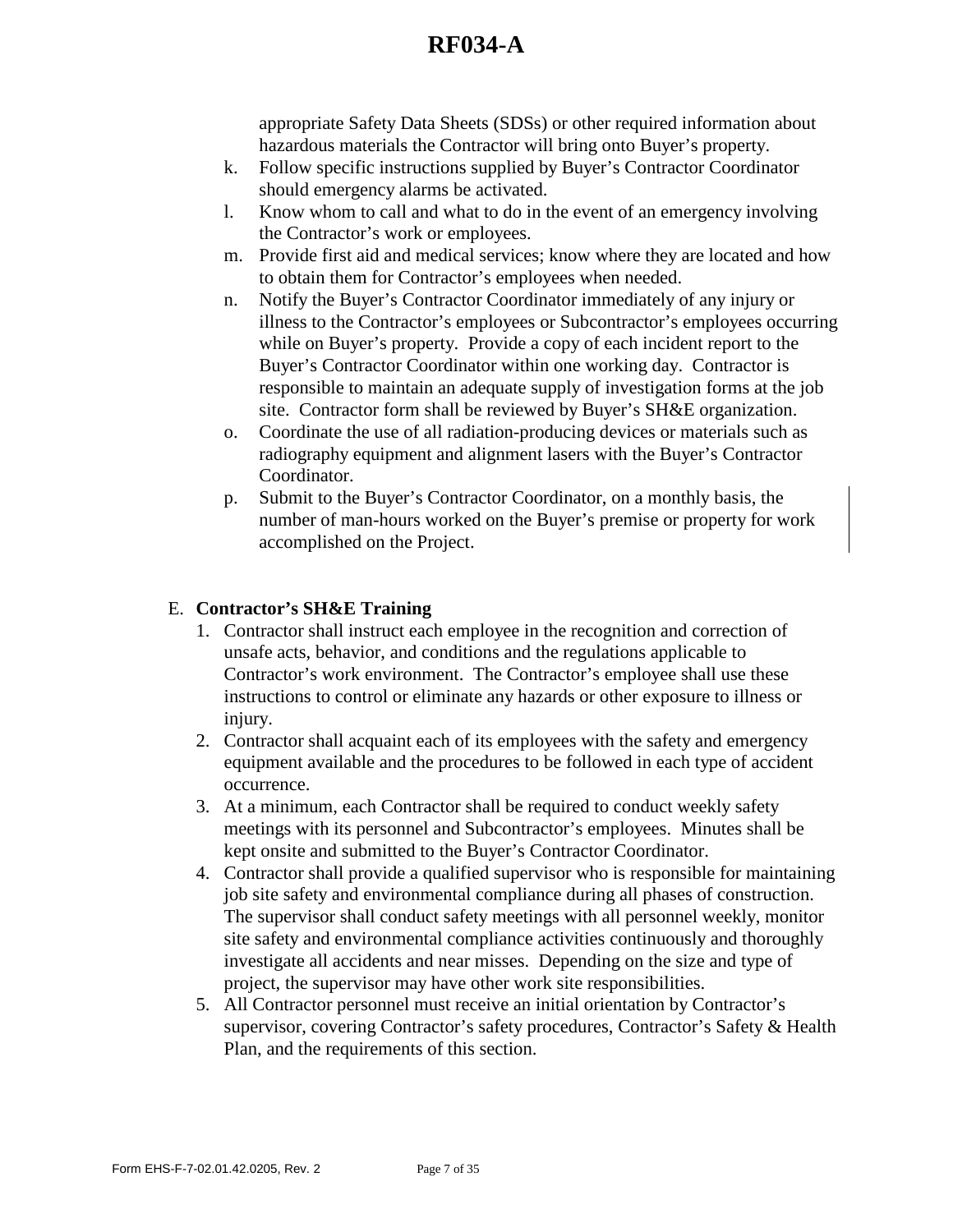appropriate Safety Data Sheets (SDSs) or other required information about hazardous materials the Contractor will bring onto Buyer's property.

- k. Follow specific instructions supplied by Buyer's Contractor Coordinator should emergency alarms be activated.
- l. Know whom to call and what to do in the event of an emergency involving the Contractor's work or employees.
- m. Provide first aid and medical services; know where they are located and how to obtain them for Contractor's employees when needed.
- n. Notify the Buyer's Contractor Coordinator immediately of any injury or illness to the Contractor's employees or Subcontractor's employees occurring while on Buyer's property. Provide a copy of each incident report to the Buyer's Contractor Coordinator within one working day. Contractor is responsible to maintain an adequate supply of investigation forms at the job site. Contractor form shall be reviewed by Buyer's SH&E organization.
- o. Coordinate the use of all radiation-producing devices or materials such as radiography equipment and alignment lasers with the Buyer's Contractor Coordinator.
- p. Submit to the Buyer's Contractor Coordinator, on a monthly basis, the number of man-hours worked on the Buyer's premise or property for work accomplished on the Project.

### E. **Contractor's SH&E Training**

- 1. Contractor shall instruct each employee in the recognition and correction of unsafe acts, behavior, and conditions and the regulations applicable to Contractor's work environment. The Contractor's employee shall use these instructions to control or eliminate any hazards or other exposure to illness or injury.
- 2. Contractor shall acquaint each of its employees with the safety and emergency equipment available and the procedures to be followed in each type of accident occurrence.
- 3. At a minimum, each Contractor shall be required to conduct weekly safety meetings with its personnel and Subcontractor's employees. Minutes shall be kept onsite and submitted to the Buyer's Contractor Coordinator.
- 4. Contractor shall provide a qualified supervisor who is responsible for maintaining job site safety and environmental compliance during all phases of construction. The supervisor shall conduct safety meetings with all personnel weekly, monitor site safety and environmental compliance activities continuously and thoroughly investigate all accidents and near misses. Depending on the size and type of project, the supervisor may have other work site responsibilities.
- 5. All Contractor personnel must receive an initial orientation by Contractor's supervisor, covering Contractor's safety procedures, Contractor's Safety & Health Plan, and the requirements of this section.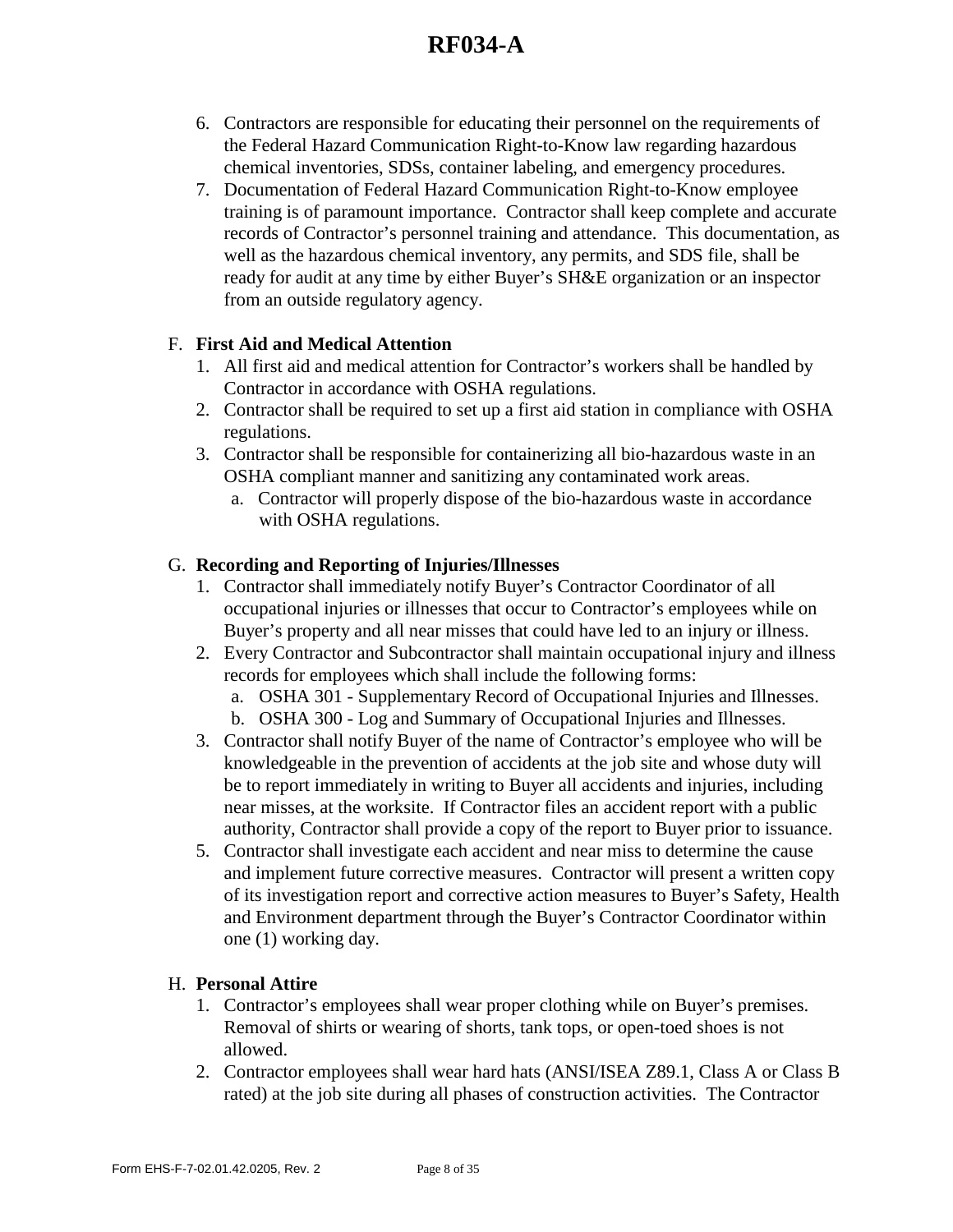- 6. Contractors are responsible for educating their personnel on the requirements of the Federal Hazard Communication Right-to-Know law regarding hazardous chemical inventories, SDSs, container labeling, and emergency procedures.
- 7. Documentation of Federal Hazard Communication Right-to-Know employee training is of paramount importance. Contractor shall keep complete and accurate records of Contractor's personnel training and attendance. This documentation, as well as the hazardous chemical inventory, any permits, and SDS file, shall be ready for audit at any time by either Buyer's SH&E organization or an inspector from an outside regulatory agency.

### F. **First Aid and Medical Attention**

- 1. All first aid and medical attention for Contractor's workers shall be handled by Contractor in accordance with OSHA regulations.
- 2. Contractor shall be required to set up a first aid station in compliance with OSHA regulations.
- 3. Contractor shall be responsible for containerizing all bio-hazardous waste in an OSHA compliant manner and sanitizing any contaminated work areas.
	- a. Contractor will properly dispose of the bio-hazardous waste in accordance with OSHA regulations.

### G. **Recording and Reporting of Injuries/Illnesses**

- 1. Contractor shall immediately notify Buyer's Contractor Coordinator of all occupational injuries or illnesses that occur to Contractor's employees while on Buyer's property and all near misses that could have led to an injury or illness.
- 2. Every Contractor and Subcontractor shall maintain occupational injury and illness records for employees which shall include the following forms:
	- a. OSHA 301 Supplementary Record of Occupational Injuries and Illnesses.
	- b. OSHA 300 Log and Summary of Occupational Injuries and Illnesses.
- 3. Contractor shall notify Buyer of the name of Contractor's employee who will be knowledgeable in the prevention of accidents at the job site and whose duty will be to report immediately in writing to Buyer all accidents and injuries, including near misses, at the worksite. If Contractor files an accident report with a public authority, Contractor shall provide a copy of the report to Buyer prior to issuance.
- 5. Contractor shall investigate each accident and near miss to determine the cause and implement future corrective measures. Contractor will present a written copy of its investigation report and corrective action measures to Buyer's Safety, Health and Environment department through the Buyer's Contractor Coordinator within one (1) working day.

### H. **Personal Attire**

- 1. Contractor's employees shall wear proper clothing while on Buyer's premises. Removal of shirts or wearing of shorts, tank tops, or open-toed shoes is not allowed.
- 2. Contractor employees shall wear hard hats (ANSI/ISEA Z89.1, Class A or Class B rated) at the job site during all phases of construction activities. The Contractor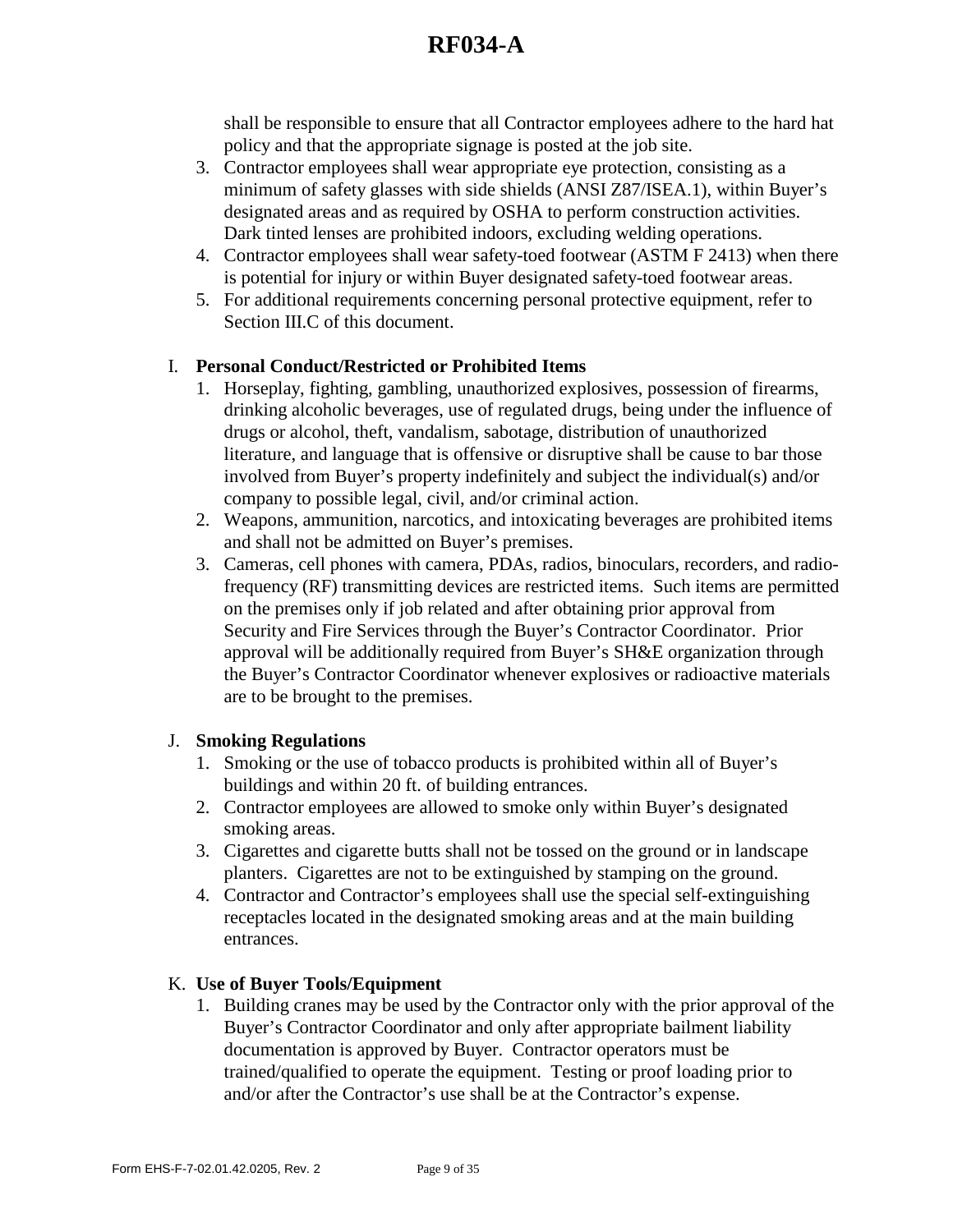shall be responsible to ensure that all Contractor employees adhere to the hard hat policy and that the appropriate signage is posted at the job site.

- 3. Contractor employees shall wear appropriate eye protection, consisting as a minimum of safety glasses with side shields (ANSI Z87/ISEA.1), within Buyer's designated areas and as required by OSHA to perform construction activities. Dark tinted lenses are prohibited indoors, excluding welding operations.
- 4. Contractor employees shall wear safety-toed footwear (ASTM F 2413) when there is potential for injury or within Buyer designated safety-toed footwear areas.
- 5. For additional requirements concerning personal protective equipment, refer to Section III.C of this document.

## I. **Personal Conduct/Restricted or Prohibited Items**

- 1. Horseplay, fighting, gambling, unauthorized explosives, possession of firearms, drinking alcoholic beverages, use of regulated drugs, being under the influence of drugs or alcohol, theft, vandalism, sabotage, distribution of unauthorized literature, and language that is offensive or disruptive shall be cause to bar those involved from Buyer's property indefinitely and subject the individual(s) and/or company to possible legal, civil, and/or criminal action.
- 2. Weapons, ammunition, narcotics, and intoxicating beverages are prohibited items and shall not be admitted on Buyer's premises.
- 3. Cameras, cell phones with camera, PDAs, radios, binoculars, recorders, and radiofrequency (RF) transmitting devices are restricted items. Such items are permitted on the premises only if job related and after obtaining prior approval from Security and Fire Services through the Buyer's Contractor Coordinator. Prior approval will be additionally required from Buyer's SH&E organization through the Buyer's Contractor Coordinator whenever explosives or radioactive materials are to be brought to the premises.

## J. **Smoking Regulations**

- 1. Smoking or the use of tobacco products is prohibited within all of Buyer's buildings and within 20 ft. of building entrances.
- 2. Contractor employees are allowed to smoke only within Buyer's designated smoking areas.
- 3. Cigarettes and cigarette butts shall not be tossed on the ground or in landscape planters. Cigarettes are not to be extinguished by stamping on the ground.
- 4. Contractor and Contractor's employees shall use the special self-extinguishing receptacles located in the designated smoking areas and at the main building entrances.

### K. **Use of Buyer Tools/Equipment**

1. Building cranes may be used by the Contractor only with the prior approval of the Buyer's Contractor Coordinator and only after appropriate bailment liability documentation is approved by Buyer. Contractor operators must be trained/qualified to operate the equipment. Testing or proof loading prior to and/or after the Contractor's use shall be at the Contractor's expense.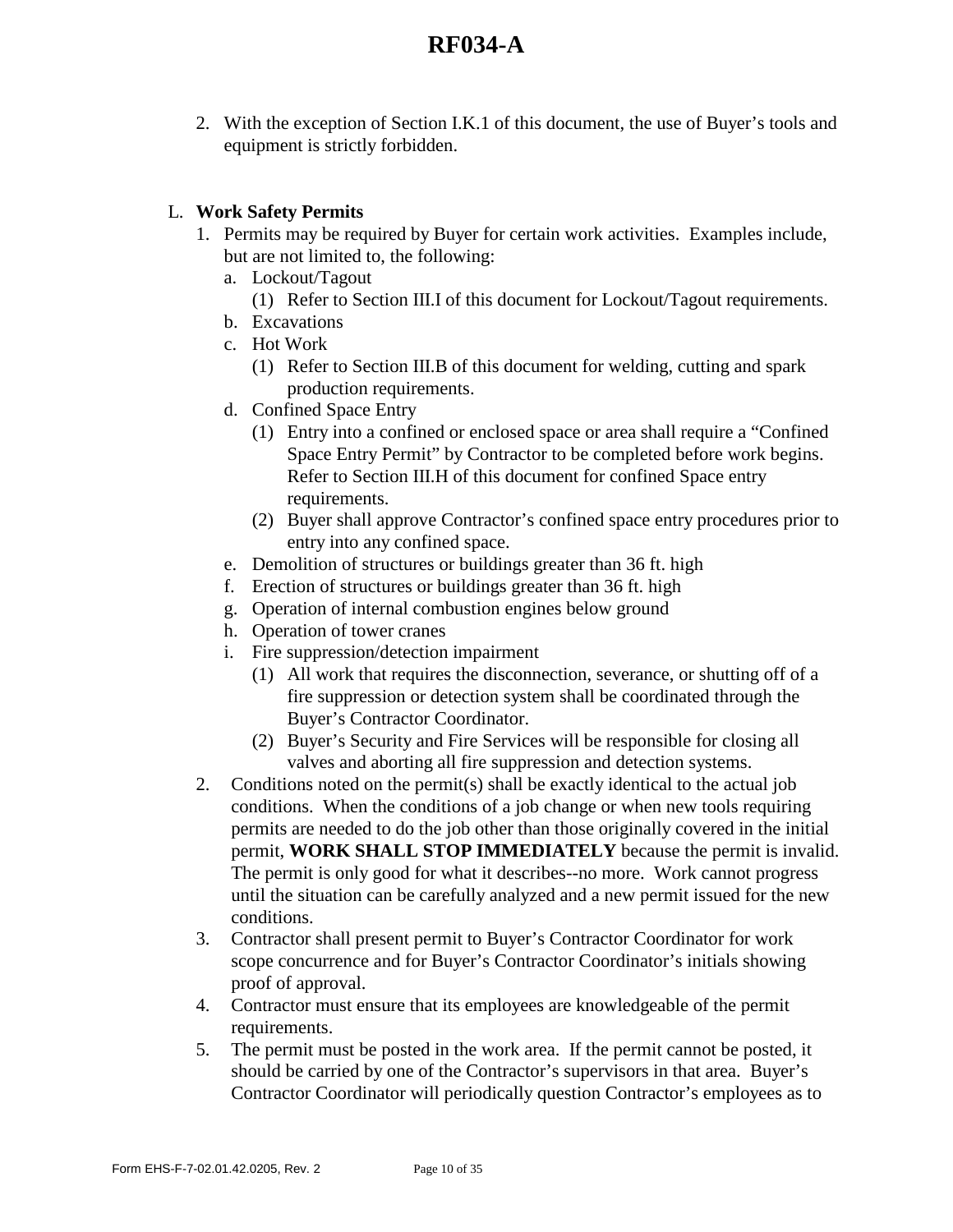2. With the exception of Section I.K.1 of this document, the use of Buyer's tools and equipment is strictly forbidden.

### L. **Work Safety Permits**

- 1. Permits may be required by Buyer for certain work activities. Examples include, but are not limited to, the following:
	- a. Lockout/Tagout
		- (1) Refer to Section III.I of this document for Lockout/Tagout requirements.
	- b. Excavations
	- c. Hot Work
		- (1) Refer to Section III.B of this document for welding, cutting and spark production requirements.
	- d. Confined Space Entry
		- (1) Entry into a confined or enclosed space or area shall require a "Confined Space Entry Permit" by Contractor to be completed before work begins. Refer to Section III.H of this document for confined Space entry requirements.
		- (2) Buyer shall approve Contractor's confined space entry procedures prior to entry into any confined space.
	- e. Demolition of structures or buildings greater than 36 ft. high
	- f. Erection of structures or buildings greater than 36 ft. high
	- g. Operation of internal combustion engines below ground
	- h. Operation of tower cranes
	- i. Fire suppression/detection impairment
		- (1) All work that requires the disconnection, severance, or shutting off of a fire suppression or detection system shall be coordinated through the Buyer's Contractor Coordinator.
		- (2) Buyer's Security and Fire Services will be responsible for closing all valves and aborting all fire suppression and detection systems.
- 2. Conditions noted on the permit(s) shall be exactly identical to the actual job conditions. When the conditions of a job change or when new tools requiring permits are needed to do the job other than those originally covered in the initial permit, **WORK SHALL STOP IMMEDIATELY** because the permit is invalid. The permit is only good for what it describes--no more. Work cannot progress until the situation can be carefully analyzed and a new permit issued for the new conditions.
- 3. Contractor shall present permit to Buyer's Contractor Coordinator for work scope concurrence and for Buyer's Contractor Coordinator's initials showing proof of approval.
- 4. Contractor must ensure that its employees are knowledgeable of the permit requirements.
- 5. The permit must be posted in the work area. If the permit cannot be posted, it should be carried by one of the Contractor's supervisors in that area. Buyer's Contractor Coordinator will periodically question Contractor's employees as to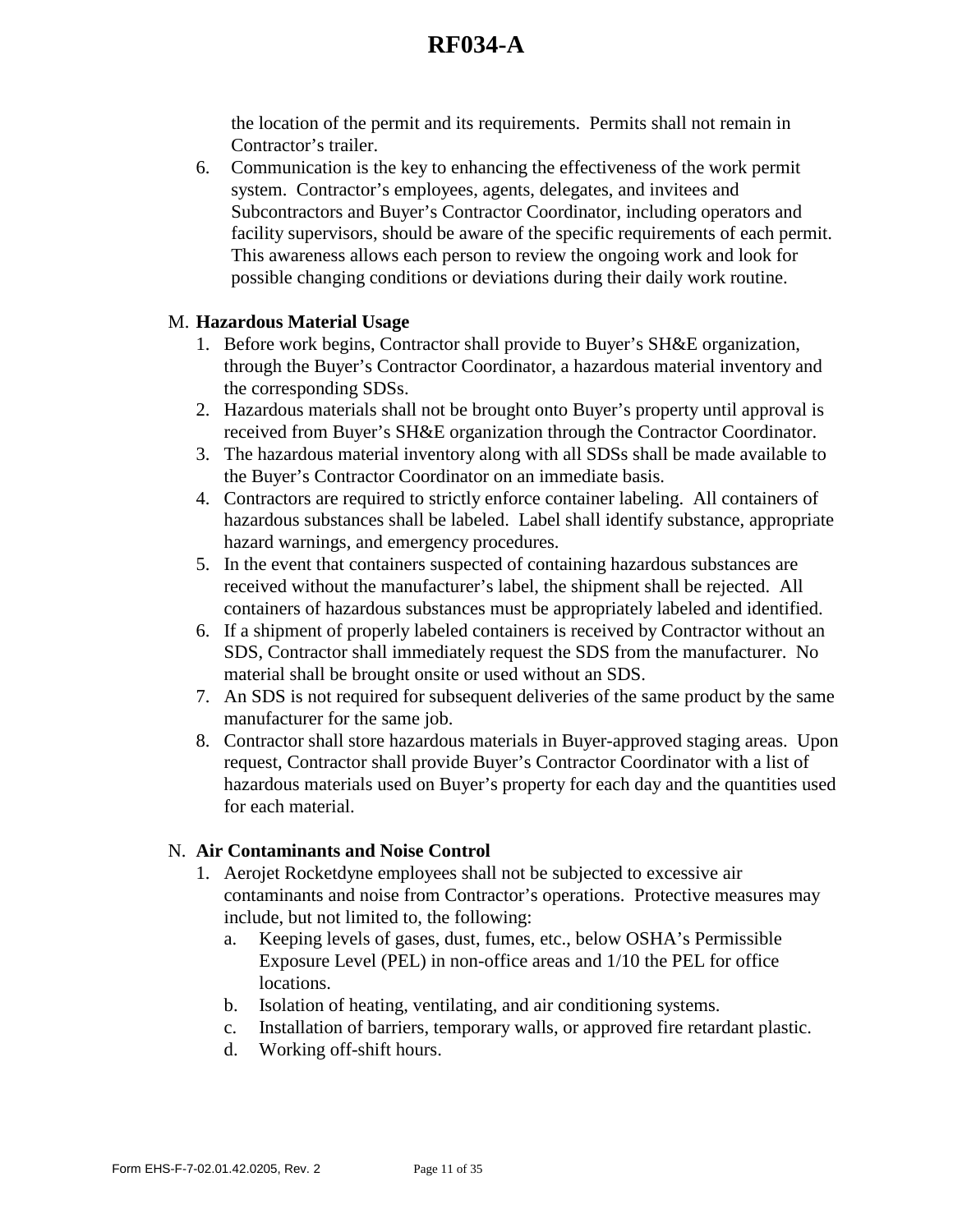the location of the permit and its requirements. Permits shall not remain in Contractor's trailer.

6. Communication is the key to enhancing the effectiveness of the work permit system. Contractor's employees, agents, delegates, and invitees and Subcontractors and Buyer's Contractor Coordinator, including operators and facility supervisors, should be aware of the specific requirements of each permit. This awareness allows each person to review the ongoing work and look for possible changing conditions or deviations during their daily work routine.

### M. **Hazardous Material Usage**

- 1. Before work begins, Contractor shall provide to Buyer's SH&E organization, through the Buyer's Contractor Coordinator, a hazardous material inventory and the corresponding SDSs.
- 2. Hazardous materials shall not be brought onto Buyer's property until approval is received from Buyer's SH&E organization through the Contractor Coordinator.
- 3. The hazardous material inventory along with all SDSs shall be made available to the Buyer's Contractor Coordinator on an immediate basis.
- 4. Contractors are required to strictly enforce container labeling. All containers of hazardous substances shall be labeled. Label shall identify substance, appropriate hazard warnings, and emergency procedures.
- 5. In the event that containers suspected of containing hazardous substances are received without the manufacturer's label, the shipment shall be rejected. All containers of hazardous substances must be appropriately labeled and identified.
- 6. If a shipment of properly labeled containers is received by Contractor without an SDS, Contractor shall immediately request the SDS from the manufacturer. No material shall be brought onsite or used without an SDS.
- 7. An SDS is not required for subsequent deliveries of the same product by the same manufacturer for the same job.
- 8. Contractor shall store hazardous materials in Buyer-approved staging areas. Upon request, Contractor shall provide Buyer's Contractor Coordinator with a list of hazardous materials used on Buyer's property for each day and the quantities used for each material.

### N. **Air Contaminants and Noise Control**

- 1. Aerojet Rocketdyne employees shall not be subjected to excessive air contaminants and noise from Contractor's operations. Protective measures may include, but not limited to, the following:
	- a. Keeping levels of gases, dust, fumes, etc., below OSHA's Permissible Exposure Level (PEL) in non-office areas and 1/10 the PEL for office locations.
	- b. Isolation of heating, ventilating, and air conditioning systems.
	- c. Installation of barriers, temporary walls, or approved fire retardant plastic.
	- d. Working off-shift hours.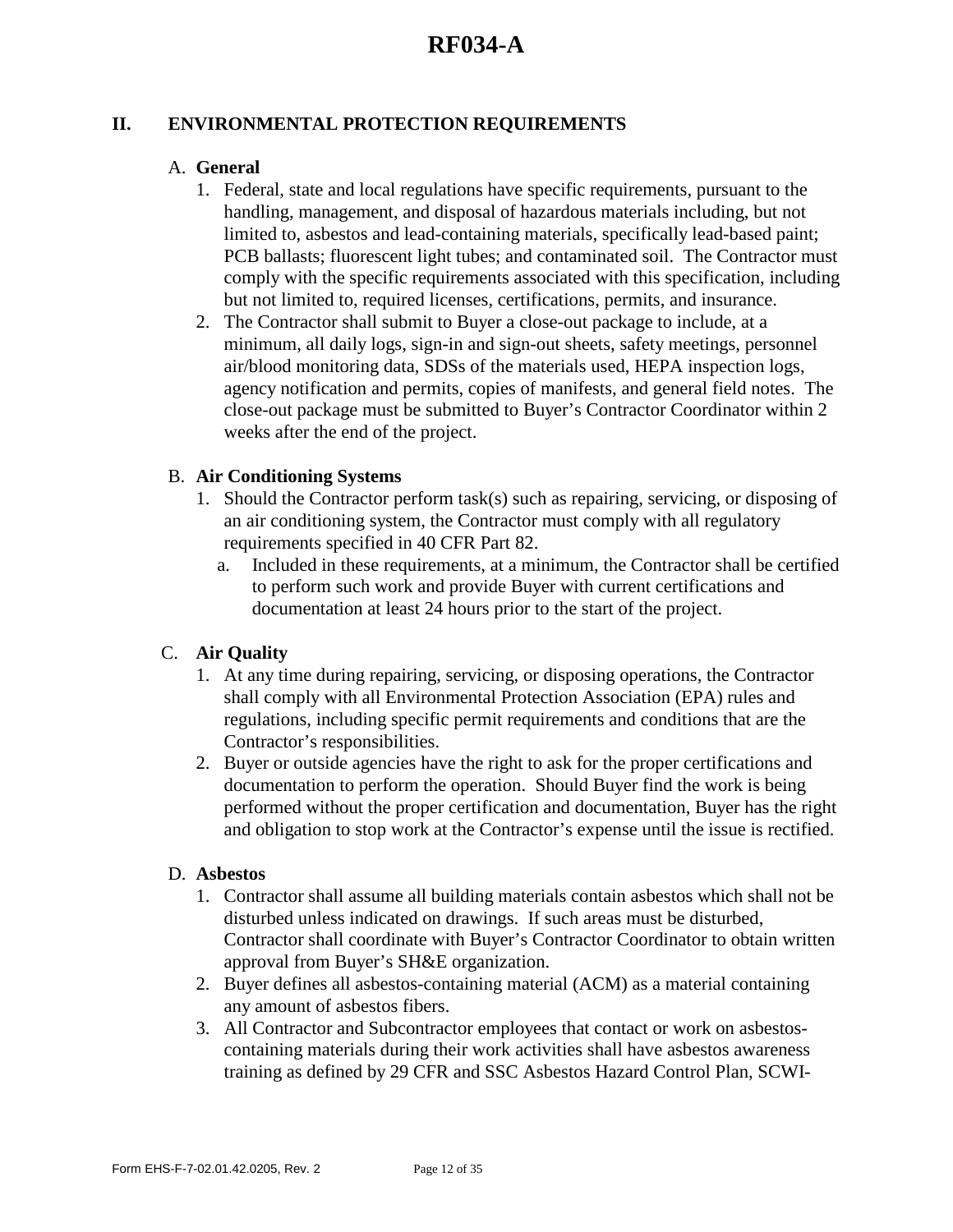### **II. ENVIRONMENTAL PROTECTION REQUIREMENTS**

#### A. **General**

- 1. Federal, state and local regulations have specific requirements, pursuant to the handling, management, and disposal of hazardous materials including, but not limited to, asbestos and lead-containing materials, specifically lead-based paint; PCB ballasts; fluorescent light tubes; and contaminated soil. The Contractor must comply with the specific requirements associated with this specification, including but not limited to, required licenses, certifications, permits, and insurance.
- 2. The Contractor shall submit to Buyer a close-out package to include, at a minimum, all daily logs, sign-in and sign-out sheets, safety meetings, personnel air/blood monitoring data, SDSs of the materials used, HEPA inspection logs, agency notification and permits, copies of manifests, and general field notes. The close-out package must be submitted to Buyer's Contractor Coordinator within 2 weeks after the end of the project.

#### B. **Air Conditioning Systems**

- 1. Should the Contractor perform task(s) such as repairing, servicing, or disposing of an air conditioning system, the Contractor must comply with all regulatory requirements specified in 40 CFR Part 82.
	- a. Included in these requirements, at a minimum, the Contractor shall be certified to perform such work and provide Buyer with current certifications and documentation at least 24 hours prior to the start of the project.

### C. **Air Quality**

- 1. At any time during repairing, servicing, or disposing operations, the Contractor shall comply with all Environmental Protection Association (EPA) rules and regulations, including specific permit requirements and conditions that are the Contractor's responsibilities.
- 2. Buyer or outside agencies have the right to ask for the proper certifications and documentation to perform the operation. Should Buyer find the work is being performed without the proper certification and documentation, Buyer has the right and obligation to stop work at the Contractor's expense until the issue is rectified.

#### D. **Asbestos**

- 1. Contractor shall assume all building materials contain asbestos which shall not be disturbed unless indicated on drawings. If such areas must be disturbed, Contractor shall coordinate with Buyer's Contractor Coordinator to obtain written approval from Buyer's SH&E organization.
- 2. Buyer defines all asbestos-containing material (ACM) as a material containing any amount of asbestos fibers.
- 3. All Contractor and Subcontractor employees that contact or work on asbestoscontaining materials during their work activities shall have asbestos awareness training as defined by 29 CFR and SSC Asbestos Hazard Control Plan, SCWI-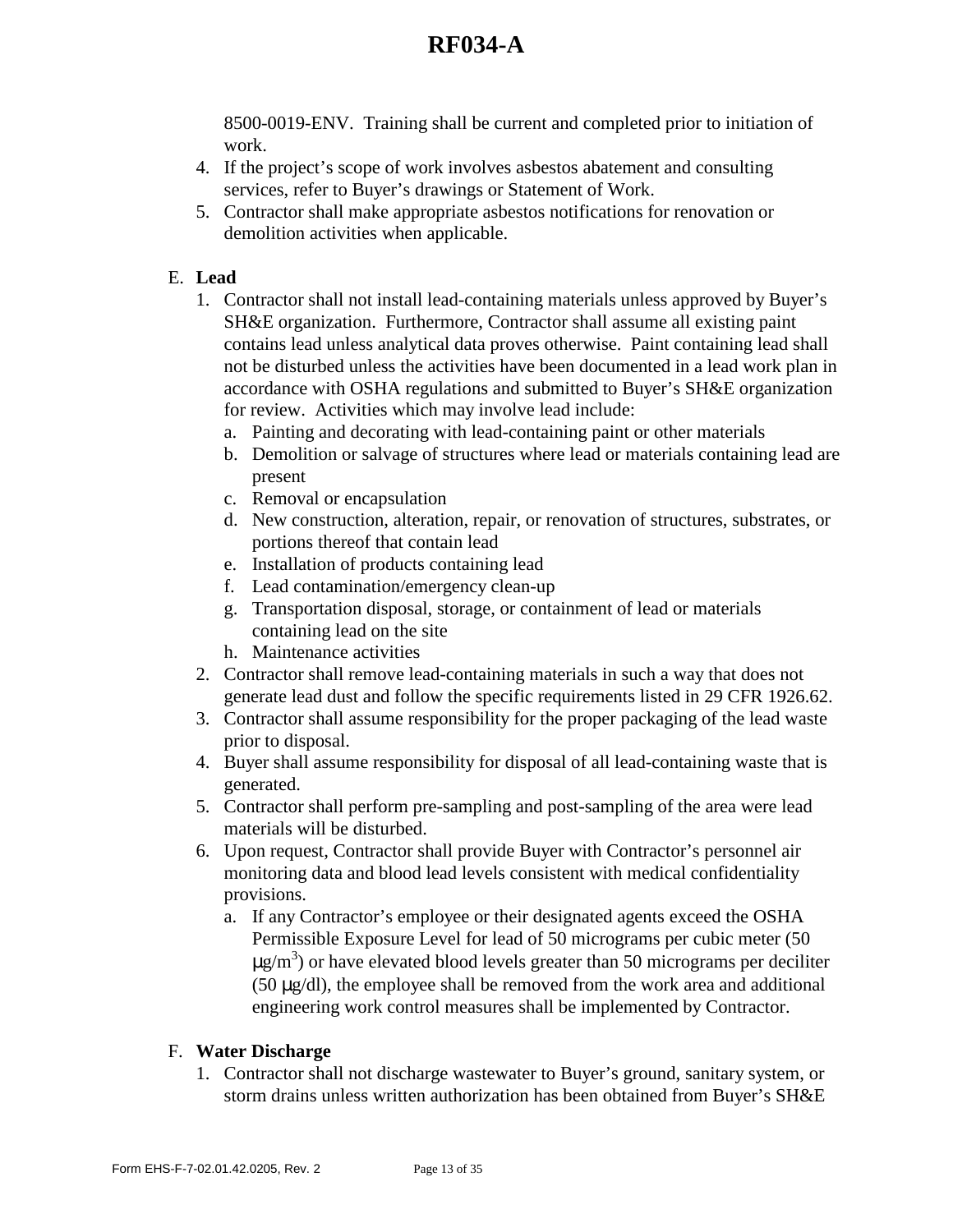8500-0019-ENV. Training shall be current and completed prior to initiation of work.

- 4. If the project's scope of work involves asbestos abatement and consulting services, refer to Buyer's drawings or Statement of Work.
- 5. Contractor shall make appropriate asbestos notifications for renovation or demolition activities when applicable.

## E. **Lead**

- 1. Contractor shall not install lead-containing materials unless approved by Buyer's SH&E organization. Furthermore, Contractor shall assume all existing paint contains lead unless analytical data proves otherwise. Paint containing lead shall not be disturbed unless the activities have been documented in a lead work plan in accordance with OSHA regulations and submitted to Buyer's SH&E organization for review. Activities which may involve lead include:
	- a. Painting and decorating with lead-containing paint or other materials
	- b. Demolition or salvage of structures where lead or materials containing lead are present
	- c. Removal or encapsulation
	- d. New construction, alteration, repair, or renovation of structures, substrates, or portions thereof that contain lead
	- e. Installation of products containing lead
	- f. Lead contamination/emergency clean-up
	- g. Transportation disposal, storage, or containment of lead or materials containing lead on the site
	- h. Maintenance activities
- 2. Contractor shall remove lead-containing materials in such a way that does not generate lead dust and follow the specific requirements listed in 29 CFR 1926.62.
- 3. Contractor shall assume responsibility for the proper packaging of the lead waste prior to disposal.
- 4. Buyer shall assume responsibility for disposal of all lead-containing waste that is generated.
- 5. Contractor shall perform pre-sampling and post-sampling of the area were lead materials will be disturbed.
- 6. Upon request, Contractor shall provide Buyer with Contractor's personnel air monitoring data and blood lead levels consistent with medical confidentiality provisions.
	- a. If any Contractor's employee or their designated agents exceed the OSHA Permissible Exposure Level for lead of 50 micrograms per cubic meter (50  $\mu$ g/m<sup>3</sup>) or have elevated blood levels greater than 50 micrograms per deciliter (50 µg/dl), the employee shall be removed from the work area and additional engineering work control measures shall be implemented by Contractor.

## F. **Water Discharge**

1. Contractor shall not discharge wastewater to Buyer's ground, sanitary system, or storm drains unless written authorization has been obtained from Buyer's SH&E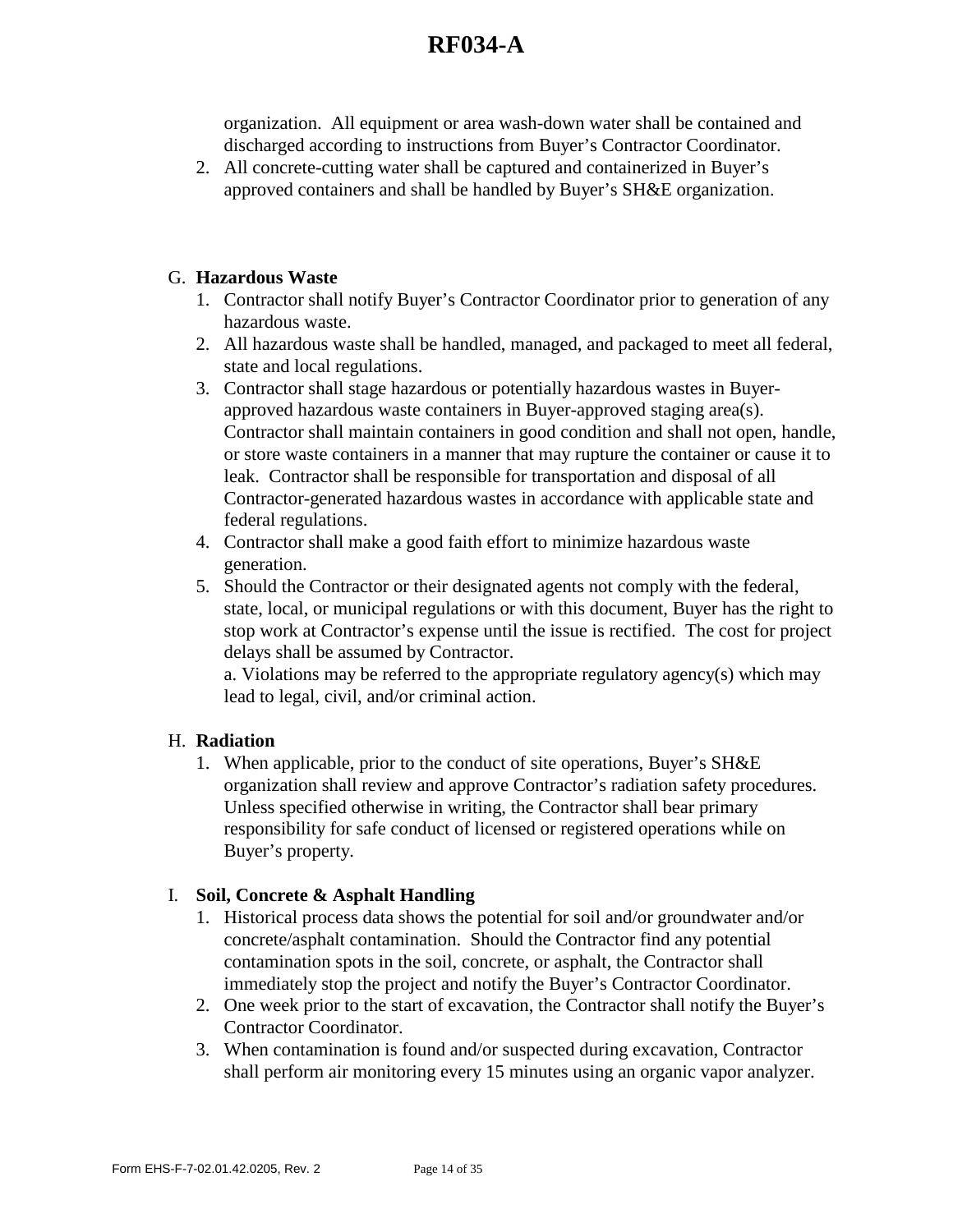organization. All equipment or area wash-down water shall be contained and discharged according to instructions from Buyer's Contractor Coordinator.

2. All concrete-cutting water shall be captured and containerized in Buyer's approved containers and shall be handled by Buyer's SH&E organization.

### G. **Hazardous Waste**

- 1. Contractor shall notify Buyer's Contractor Coordinator prior to generation of any hazardous waste.
- 2. All hazardous waste shall be handled, managed, and packaged to meet all federal, state and local regulations.
- 3. Contractor shall stage hazardous or potentially hazardous wastes in Buyerapproved hazardous waste containers in Buyer-approved staging area(s). Contractor shall maintain containers in good condition and shall not open, handle, or store waste containers in a manner that may rupture the container or cause it to leak. Contractor shall be responsible for transportation and disposal of all Contractor-generated hazardous wastes in accordance with applicable state and federal regulations.
- 4. Contractor shall make a good faith effort to minimize hazardous waste generation.
- 5. Should the Contractor or their designated agents not comply with the federal, state, local, or municipal regulations or with this document, Buyer has the right to stop work at Contractor's expense until the issue is rectified. The cost for project delays shall be assumed by Contractor.

 a. Violations may be referred to the appropriate regulatory agency(s) which may lead to legal, civil, and/or criminal action.

## H. **Radiation**

1. When applicable, prior to the conduct of site operations, Buyer's SH&E organization shall review and approve Contractor's radiation safety procedures. Unless specified otherwise in writing, the Contractor shall bear primary responsibility for safe conduct of licensed or registered operations while on Buyer's property.

## I. **Soil, Concrete & Asphalt Handling**

- 1. Historical process data shows the potential for soil and/or groundwater and/or concrete/asphalt contamination. Should the Contractor find any potential contamination spots in the soil, concrete, or asphalt, the Contractor shall immediately stop the project and notify the Buyer's Contractor Coordinator.
- 2. One week prior to the start of excavation, the Contractor shall notify the Buyer's Contractor Coordinator.
- 3. When contamination is found and/or suspected during excavation, Contractor shall perform air monitoring every 15 minutes using an organic vapor analyzer.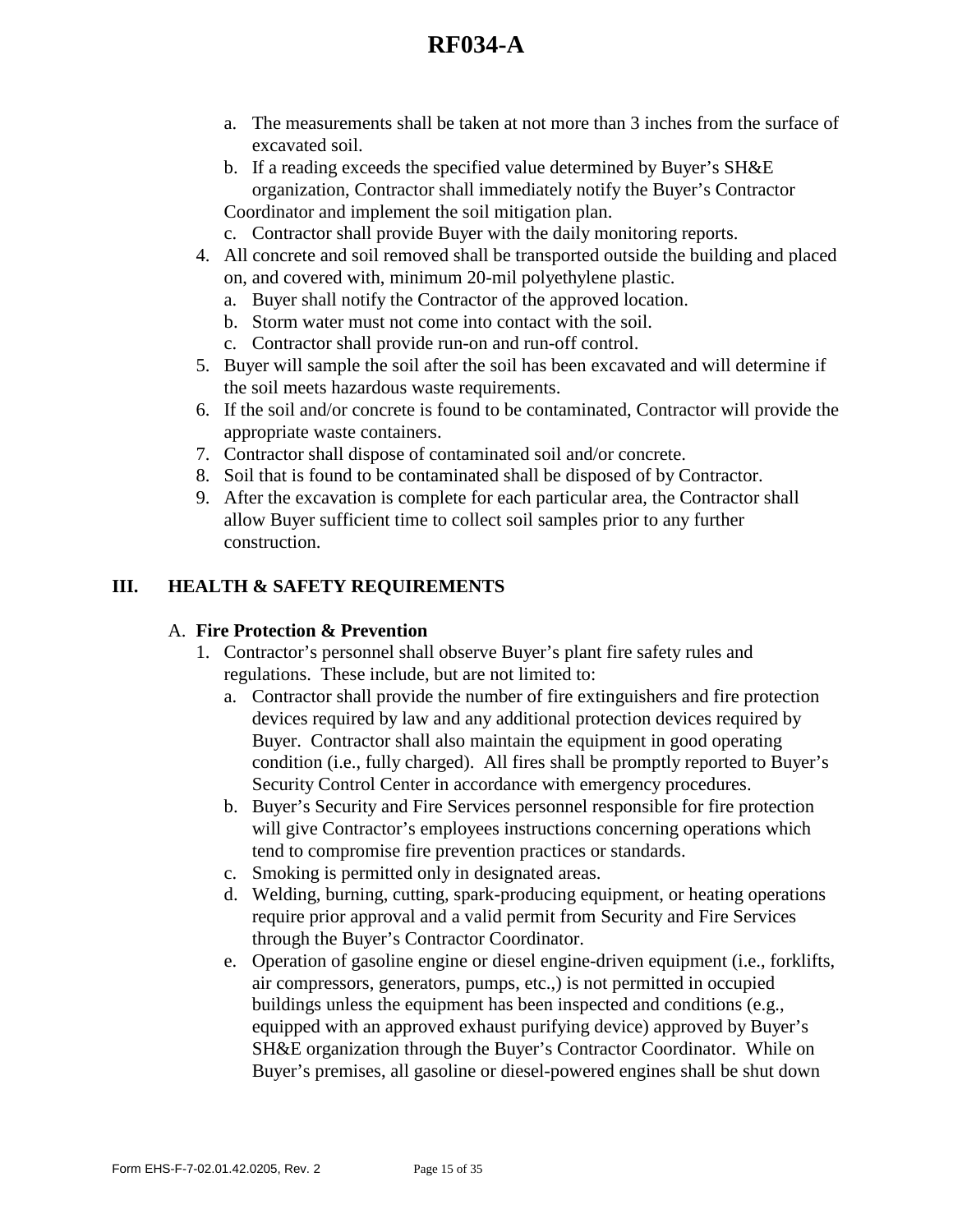- a. The measurements shall be taken at not more than 3 inches from the surface of excavated soil.
- b. If a reading exceeds the specified value determined by Buyer's SH&E organization, Contractor shall immediately notify the Buyer's Contractor Coordinator and implement the soil mitigation plan.
- c. Contractor shall provide Buyer with the daily monitoring reports.
- 4. All concrete and soil removed shall be transported outside the building and placed on, and covered with, minimum 20-mil polyethylene plastic.
	- a. Buyer shall notify the Contractor of the approved location.
	- b. Storm water must not come into contact with the soil.
	- c. Contractor shall provide run-on and run-off control.
- 5. Buyer will sample the soil after the soil has been excavated and will determine if the soil meets hazardous waste requirements.
- 6. If the soil and/or concrete is found to be contaminated, Contractor will provide the appropriate waste containers.
- 7. Contractor shall dispose of contaminated soil and/or concrete.
- 8. Soil that is found to be contaminated shall be disposed of by Contractor.
- 9. After the excavation is complete for each particular area, the Contractor shall allow Buyer sufficient time to collect soil samples prior to any further construction.

### **III. HEALTH & SAFETY REQUIREMENTS**

#### A. **Fire Protection & Prevention**

- 1. Contractor's personnel shall observe Buyer's plant fire safety rules and regulations. These include, but are not limited to:
	- a. Contractor shall provide the number of fire extinguishers and fire protection devices required by law and any additional protection devices required by Buyer. Contractor shall also maintain the equipment in good operating condition (i.e., fully charged). All fires shall be promptly reported to Buyer's Security Control Center in accordance with emergency procedures.
	- b. Buyer's Security and Fire Services personnel responsible for fire protection will give Contractor's employees instructions concerning operations which tend to compromise fire prevention practices or standards.
	- c. Smoking is permitted only in designated areas.
	- d. Welding, burning, cutting, spark-producing equipment, or heating operations require prior approval and a valid permit from Security and Fire Services through the Buyer's Contractor Coordinator.
	- e. Operation of gasoline engine or diesel engine-driven equipment (i.e., forklifts, air compressors, generators, pumps, etc.,) is not permitted in occupied buildings unless the equipment has been inspected and conditions (e.g., equipped with an approved exhaust purifying device) approved by Buyer's SH&E organization through the Buyer's Contractor Coordinator. While on Buyer's premises, all gasoline or diesel-powered engines shall be shut down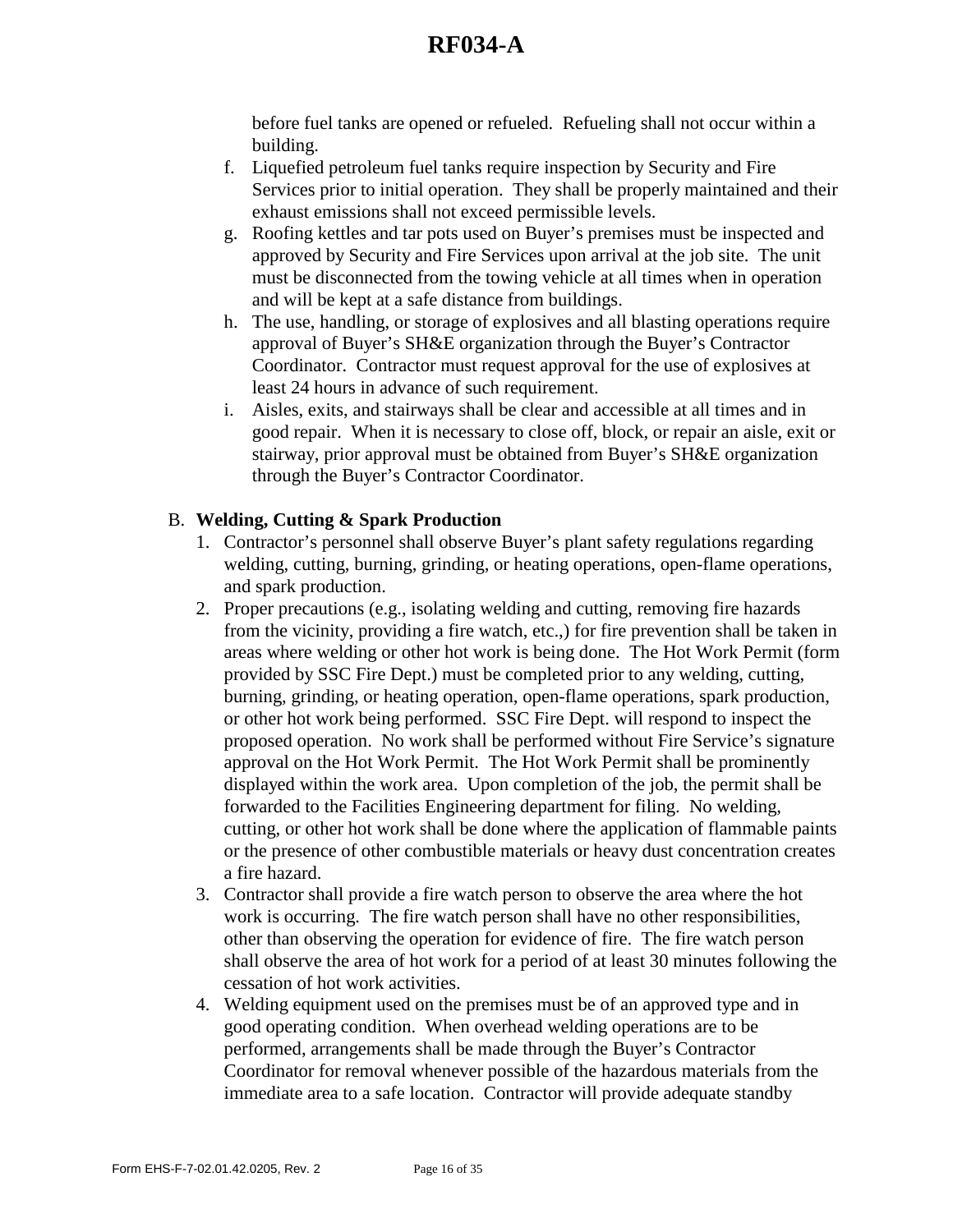before fuel tanks are opened or refueled. Refueling shall not occur within a building.

- f. Liquefied petroleum fuel tanks require inspection by Security and Fire Services prior to initial operation. They shall be properly maintained and their exhaust emissions shall not exceed permissible levels.
- g. Roofing kettles and tar pots used on Buyer's premises must be inspected and approved by Security and Fire Services upon arrival at the job site. The unit must be disconnected from the towing vehicle at all times when in operation and will be kept at a safe distance from buildings.
- h. The use, handling, or storage of explosives and all blasting operations require approval of Buyer's SH&E organization through the Buyer's Contractor Coordinator. Contractor must request approval for the use of explosives at least 24 hours in advance of such requirement.
- i. Aisles, exits, and stairways shall be clear and accessible at all times and in good repair. When it is necessary to close off, block, or repair an aisle, exit or stairway, prior approval must be obtained from Buyer's SH&E organization through the Buyer's Contractor Coordinator.

### B. **Welding, Cutting & Spark Production**

- 1. Contractor's personnel shall observe Buyer's plant safety regulations regarding welding, cutting, burning, grinding, or heating operations, open-flame operations, and spark production.
- 2. Proper precautions (e.g., isolating welding and cutting, removing fire hazards from the vicinity, providing a fire watch, etc.,) for fire prevention shall be taken in areas where welding or other hot work is being done. The Hot Work Permit (form provided by SSC Fire Dept.) must be completed prior to any welding, cutting, burning, grinding, or heating operation, open-flame operations, spark production, or other hot work being performed. SSC Fire Dept. will respond to inspect the proposed operation. No work shall be performed without Fire Service's signature approval on the Hot Work Permit. The Hot Work Permit shall be prominently displayed within the work area. Upon completion of the job, the permit shall be forwarded to the Facilities Engineering department for filing. No welding, cutting, or other hot work shall be done where the application of flammable paints or the presence of other combustible materials or heavy dust concentration creates a fire hazard.
- 3. Contractor shall provide a fire watch person to observe the area where the hot work is occurring. The fire watch person shall have no other responsibilities, other than observing the operation for evidence of fire. The fire watch person shall observe the area of hot work for a period of at least 30 minutes following the cessation of hot work activities.
- 4. Welding equipment used on the premises must be of an approved type and in good operating condition. When overhead welding operations are to be performed, arrangements shall be made through the Buyer's Contractor Coordinator for removal whenever possible of the hazardous materials from the immediate area to a safe location. Contractor will provide adequate standby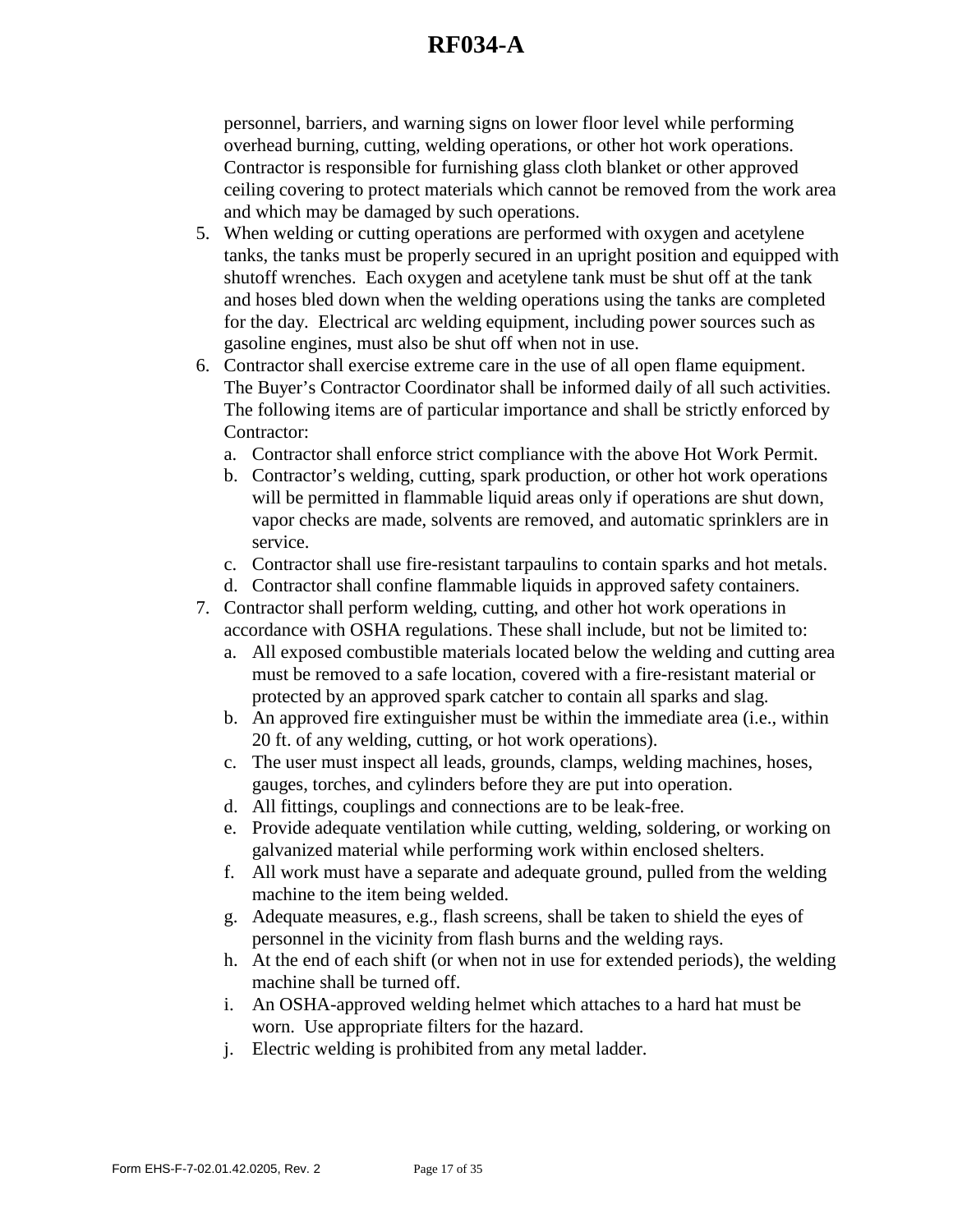personnel, barriers, and warning signs on lower floor level while performing overhead burning, cutting, welding operations, or other hot work operations. Contractor is responsible for furnishing glass cloth blanket or other approved ceiling covering to protect materials which cannot be removed from the work area and which may be damaged by such operations.

- 5. When welding or cutting operations are performed with oxygen and acetylene tanks, the tanks must be properly secured in an upright position and equipped with shutoff wrenches. Each oxygen and acetylene tank must be shut off at the tank and hoses bled down when the welding operations using the tanks are completed for the day. Electrical arc welding equipment, including power sources such as gasoline engines, must also be shut off when not in use.
- 6. Contractor shall exercise extreme care in the use of all open flame equipment. The Buyer's Contractor Coordinator shall be informed daily of all such activities. The following items are of particular importance and shall be strictly enforced by Contractor:
	- a. Contractor shall enforce strict compliance with the above Hot Work Permit.
	- b. Contractor's welding, cutting, spark production, or other hot work operations will be permitted in flammable liquid areas only if operations are shut down, vapor checks are made, solvents are removed, and automatic sprinklers are in service.
	- c. Contractor shall use fire-resistant tarpaulins to contain sparks and hot metals.
	- d. Contractor shall confine flammable liquids in approved safety containers.
- 7. Contractor shall perform welding, cutting, and other hot work operations in accordance with OSHA regulations. These shall include, but not be limited to:
	- a. All exposed combustible materials located below the welding and cutting area must be removed to a safe location, covered with a fire-resistant material or protected by an approved spark catcher to contain all sparks and slag.
	- b. An approved fire extinguisher must be within the immediate area (i.e., within 20 ft. of any welding, cutting, or hot work operations).
	- c. The user must inspect all leads, grounds, clamps, welding machines, hoses, gauges, torches, and cylinders before they are put into operation.
	- d. All fittings, couplings and connections are to be leak-free.
	- e. Provide adequate ventilation while cutting, welding, soldering, or working on galvanized material while performing work within enclosed shelters.
	- f. All work must have a separate and adequate ground, pulled from the welding machine to the item being welded.
	- g. Adequate measures, e.g., flash screens, shall be taken to shield the eyes of personnel in the vicinity from flash burns and the welding rays.
	- h. At the end of each shift (or when not in use for extended periods), the welding machine shall be turned off.
	- i. An OSHA-approved welding helmet which attaches to a hard hat must be worn. Use appropriate filters for the hazard.
	- j. Electric welding is prohibited from any metal ladder.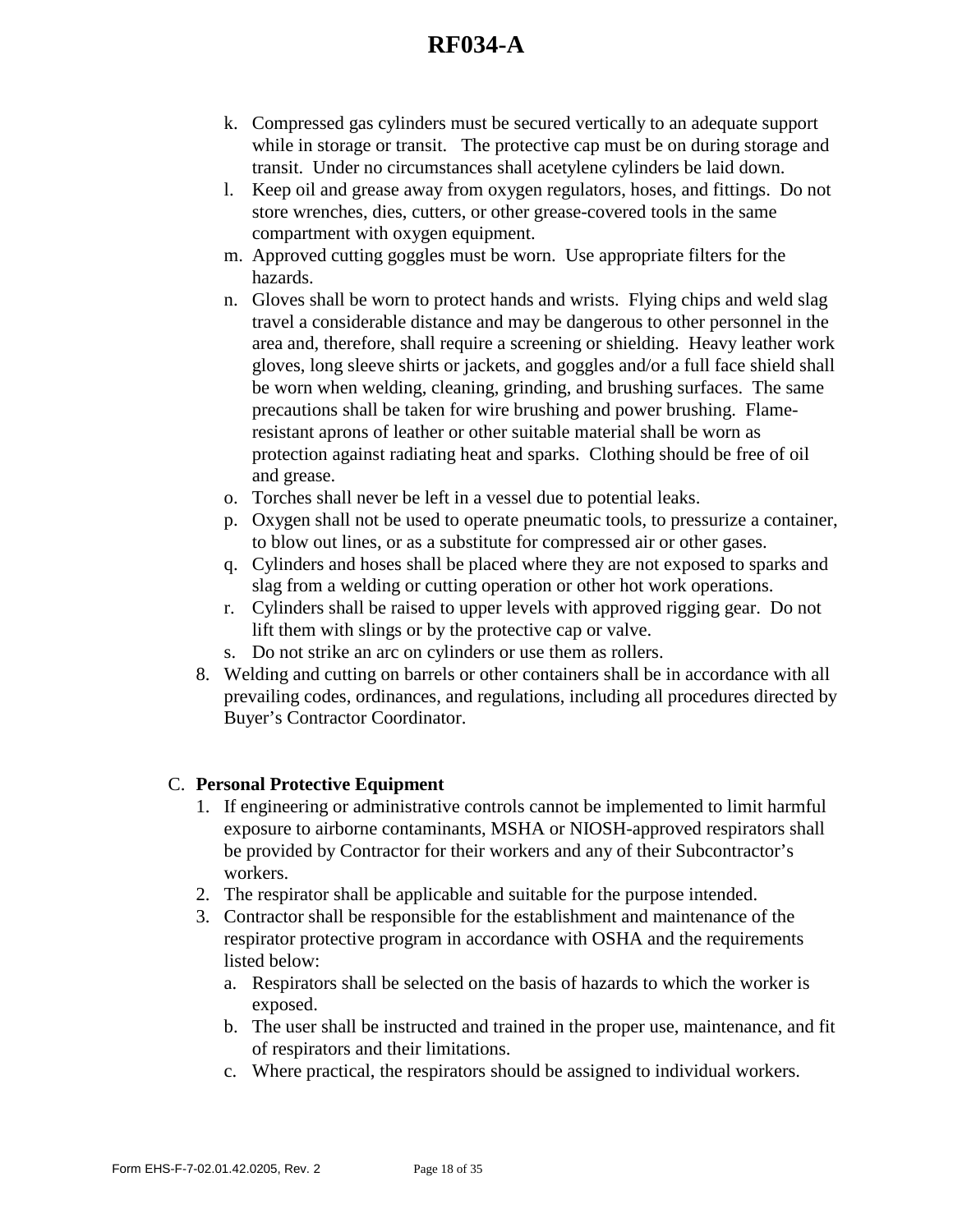- k. Compressed gas cylinders must be secured vertically to an adequate support while in storage or transit. The protective cap must be on during storage and transit. Under no circumstances shall acetylene cylinders be laid down.
- l. Keep oil and grease away from oxygen regulators, hoses, and fittings. Do not store wrenches, dies, cutters, or other grease-covered tools in the same compartment with oxygen equipment.
- m. Approved cutting goggles must be worn. Use appropriate filters for the hazards.
- n. Gloves shall be worn to protect hands and wrists. Flying chips and weld slag travel a considerable distance and may be dangerous to other personnel in the area and, therefore, shall require a screening or shielding. Heavy leather work gloves, long sleeve shirts or jackets, and goggles and/or a full face shield shall be worn when welding, cleaning, grinding, and brushing surfaces. The same precautions shall be taken for wire brushing and power brushing. Flameresistant aprons of leather or other suitable material shall be worn as protection against radiating heat and sparks. Clothing should be free of oil and grease.
- o. Torches shall never be left in a vessel due to potential leaks.
- p. Oxygen shall not be used to operate pneumatic tools, to pressurize a container, to blow out lines, or as a substitute for compressed air or other gases.
- q. Cylinders and hoses shall be placed where they are not exposed to sparks and slag from a welding or cutting operation or other hot work operations.
- r. Cylinders shall be raised to upper levels with approved rigging gear. Do not lift them with slings or by the protective cap or valve.
- s. Do not strike an arc on cylinders or use them as rollers.
- 8. Welding and cutting on barrels or other containers shall be in accordance with all prevailing codes, ordinances, and regulations, including all procedures directed by Buyer's Contractor Coordinator.

### C. **Personal Protective Equipment**

- 1. If engineering or administrative controls cannot be implemented to limit harmful exposure to airborne contaminants, MSHA or NIOSH-approved respirators shall be provided by Contractor for their workers and any of their Subcontractor's workers.
- 2. The respirator shall be applicable and suitable for the purpose intended.
- 3. Contractor shall be responsible for the establishment and maintenance of the respirator protective program in accordance with OSHA and the requirements listed below:
	- a. Respirators shall be selected on the basis of hazards to which the worker is exposed.
	- b. The user shall be instructed and trained in the proper use, maintenance, and fit of respirators and their limitations.
	- c. Where practical, the respirators should be assigned to individual workers.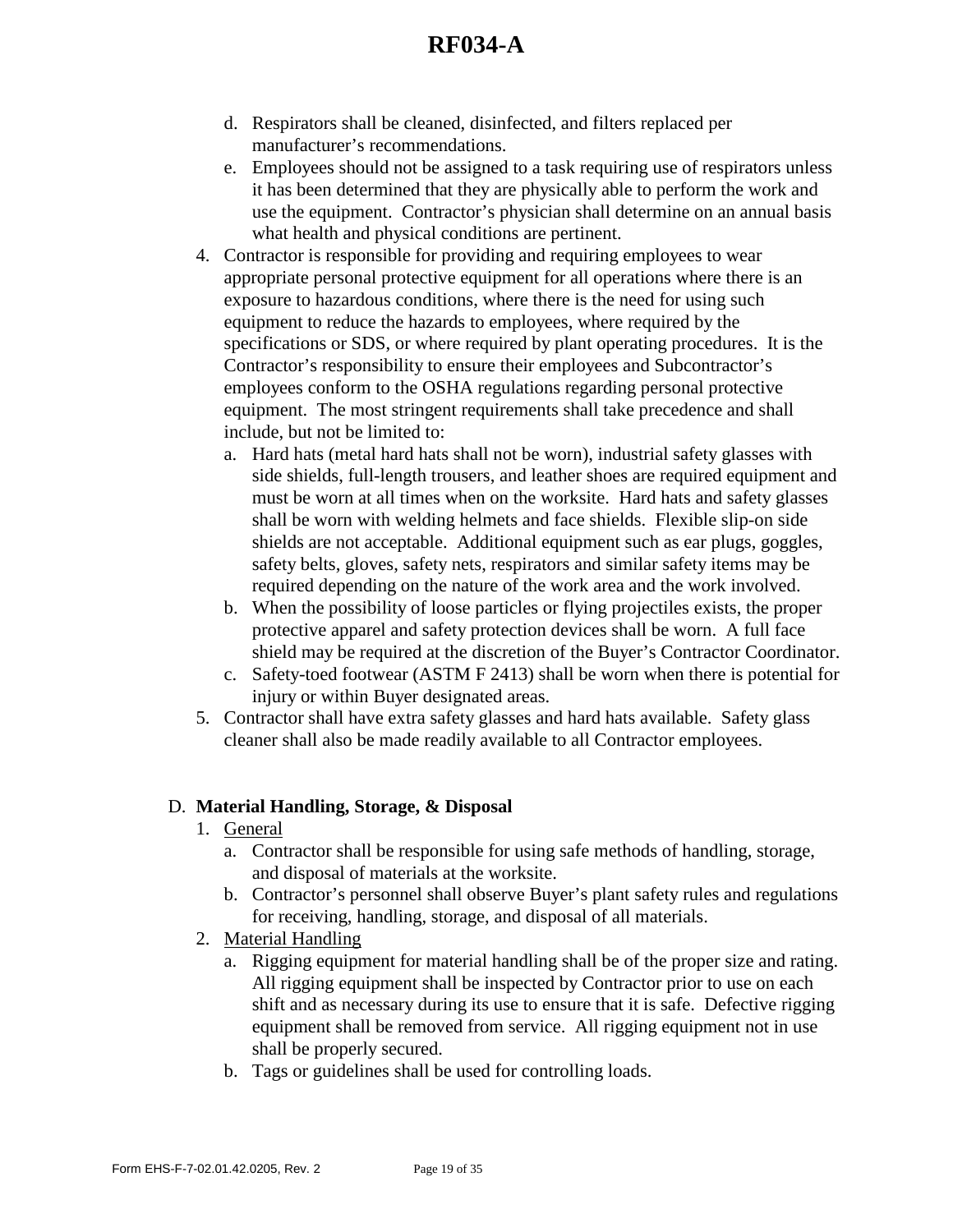- d. Respirators shall be cleaned, disinfected, and filters replaced per manufacturer's recommendations.
- e. Employees should not be assigned to a task requiring use of respirators unless it has been determined that they are physically able to perform the work and use the equipment. Contractor's physician shall determine on an annual basis what health and physical conditions are pertinent.
- 4. Contractor is responsible for providing and requiring employees to wear appropriate personal protective equipment for all operations where there is an exposure to hazardous conditions, where there is the need for using such equipment to reduce the hazards to employees, where required by the specifications or SDS, or where required by plant operating procedures. It is the Contractor's responsibility to ensure their employees and Subcontractor's employees conform to the OSHA regulations regarding personal protective equipment. The most stringent requirements shall take precedence and shall include, but not be limited to:
	- a. Hard hats (metal hard hats shall not be worn), industrial safety glasses with side shields, full-length trousers, and leather shoes are required equipment and must be worn at all times when on the worksite. Hard hats and safety glasses shall be worn with welding helmets and face shields. Flexible slip-on side shields are not acceptable. Additional equipment such as ear plugs, goggles, safety belts, gloves, safety nets, respirators and similar safety items may be required depending on the nature of the work area and the work involved.
	- b. When the possibility of loose particles or flying projectiles exists, the proper protective apparel and safety protection devices shall be worn. A full face shield may be required at the discretion of the Buyer's Contractor Coordinator.
	- c. Safety-toed footwear (ASTM F 2413) shall be worn when there is potential for injury or within Buyer designated areas.
- 5. Contractor shall have extra safety glasses and hard hats available. Safety glass cleaner shall also be made readily available to all Contractor employees.

### D. **Material Handling, Storage, & Disposal**

- 1. General
	- a. Contractor shall be responsible for using safe methods of handling, storage, and disposal of materials at the worksite.
	- b. Contractor's personnel shall observe Buyer's plant safety rules and regulations for receiving, handling, storage, and disposal of all materials.
- 2. Material Handling
	- a. Rigging equipment for material handling shall be of the proper size and rating. All rigging equipment shall be inspected by Contractor prior to use on each shift and as necessary during its use to ensure that it is safe. Defective rigging equipment shall be removed from service. All rigging equipment not in use shall be properly secured.
	- b. Tags or guidelines shall be used for controlling loads.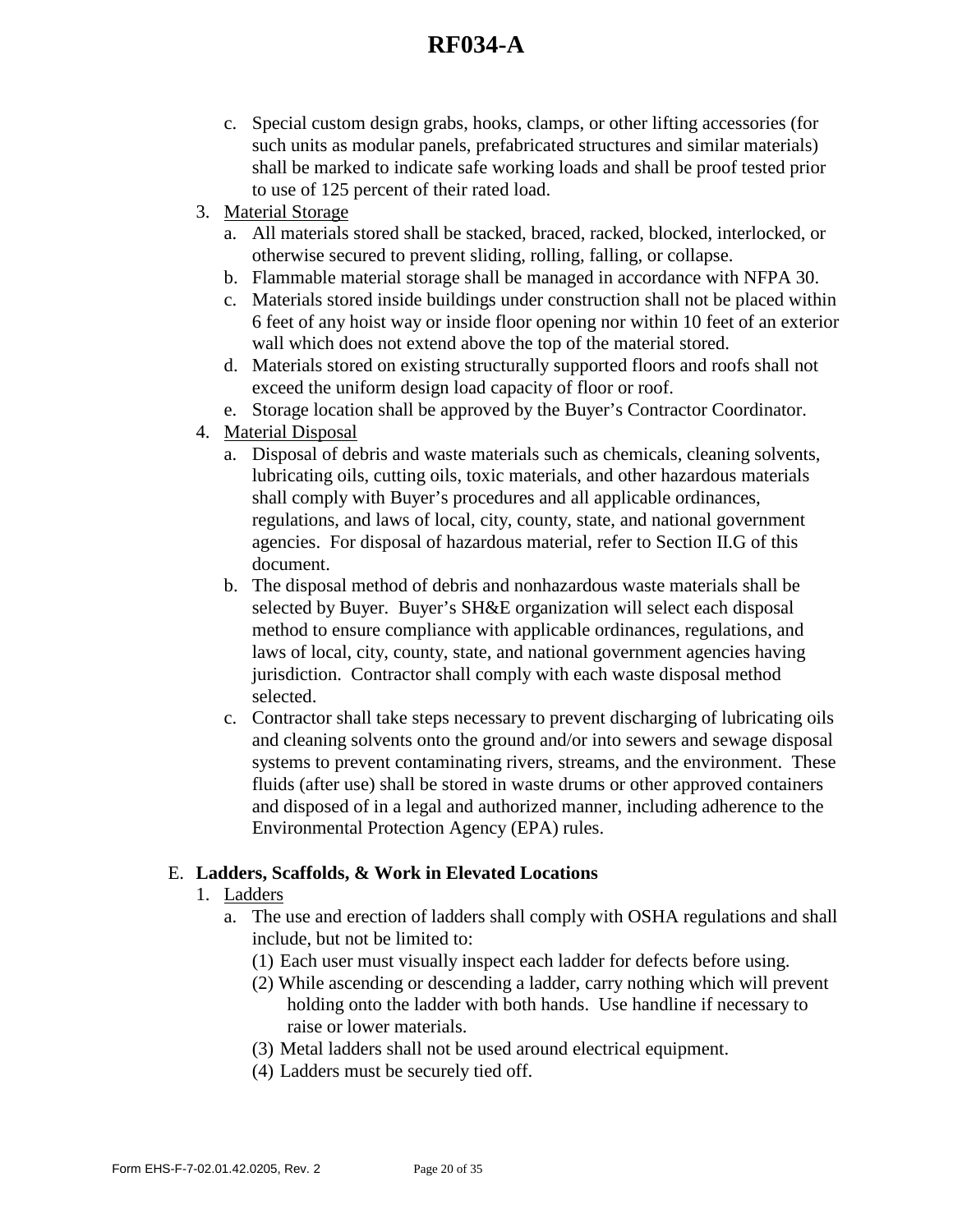- c. Special custom design grabs, hooks, clamps, or other lifting accessories (for such units as modular panels, prefabricated structures and similar materials) shall be marked to indicate safe working loads and shall be proof tested prior to use of 125 percent of their rated load.
- 3. Material Storage
	- a. All materials stored shall be stacked, braced, racked, blocked, interlocked, or otherwise secured to prevent sliding, rolling, falling, or collapse.
	- b. Flammable material storage shall be managed in accordance with NFPA 30.
	- c. Materials stored inside buildings under construction shall not be placed within 6 feet of any hoist way or inside floor opening nor within 10 feet of an exterior wall which does not extend above the top of the material stored.
	- d. Materials stored on existing structurally supported floors and roofs shall not exceed the uniform design load capacity of floor or roof.
	- e. Storage location shall be approved by the Buyer's Contractor Coordinator.
- 4. Material Disposal
	- a. Disposal of debris and waste materials such as chemicals, cleaning solvents, lubricating oils, cutting oils, toxic materials, and other hazardous materials shall comply with Buyer's procedures and all applicable ordinances, regulations, and laws of local, city, county, state, and national government agencies. For disposal of hazardous material, refer to Section II.G of this document.
	- b. The disposal method of debris and nonhazardous waste materials shall be selected by Buyer. Buyer's SH&E organization will select each disposal method to ensure compliance with applicable ordinances, regulations, and laws of local, city, county, state, and national government agencies having jurisdiction. Contractor shall comply with each waste disposal method selected.
	- c. Contractor shall take steps necessary to prevent discharging of lubricating oils and cleaning solvents onto the ground and/or into sewers and sewage disposal systems to prevent contaminating rivers, streams, and the environment. These fluids (after use) shall be stored in waste drums or other approved containers and disposed of in a legal and authorized manner, including adherence to the Environmental Protection Agency (EPA) rules.

## E. **Ladders, Scaffolds, & Work in Elevated Locations**

- 1. Ladders
	- a. The use and erection of ladders shall comply with OSHA regulations and shall include, but not be limited to:
		- (1) Each user must visually inspect each ladder for defects before using.
		- (2) While ascending or descending a ladder, carry nothing which will prevent holding onto the ladder with both hands. Use handline if necessary to raise or lower materials.
		- (3) Metal ladders shall not be used around electrical equipment.
		- (4) Ladders must be securely tied off.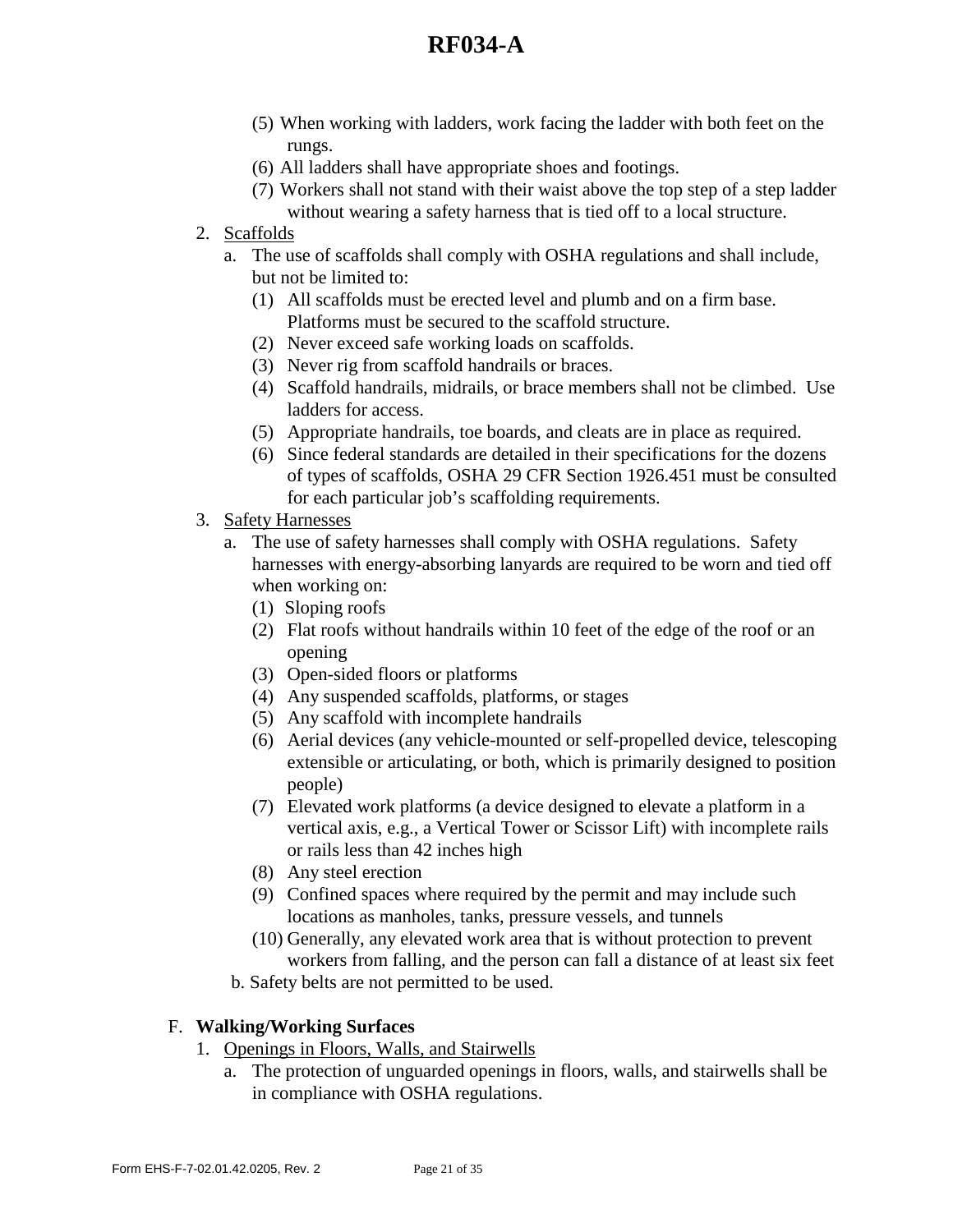- (5) When working with ladders, work facing the ladder with both feet on the rungs.
- (6) All ladders shall have appropriate shoes and footings.
- (7) Workers shall not stand with their waist above the top step of a step ladder without wearing a safety harness that is tied off to a local structure.
- 2. Scaffolds
	- a. The use of scaffolds shall comply with OSHA regulations and shall include, but not be limited to:
		- (1) All scaffolds must be erected level and plumb and on a firm base. Platforms must be secured to the scaffold structure.
		- (2) Never exceed safe working loads on scaffolds.
		- (3) Never rig from scaffold handrails or braces.
		- (4) Scaffold handrails, midrails, or brace members shall not be climbed. Use ladders for access.
		- (5) Appropriate handrails, toe boards, and cleats are in place as required.
		- (6) Since federal standards are detailed in their specifications for the dozens of types of scaffolds, OSHA 29 CFR Section 1926.451 must be consulted for each particular job's scaffolding requirements.
- 3. Safety Harnesses
	- a. The use of safety harnesses shall comply with OSHA regulations. Safety harnesses with energy-absorbing lanyards are required to be worn and tied off when working on:
		- (1) Sloping roofs
		- (2) Flat roofs without handrails within 10 feet of the edge of the roof or an opening
		- (3) Open-sided floors or platforms
		- (4) Any suspended scaffolds, platforms, or stages
		- (5) Any scaffold with incomplete handrails
		- (6) Aerial devices (any vehicle-mounted or self-propelled device, telescoping extensible or articulating, or both, which is primarily designed to position people)
		- (7) Elevated work platforms (a device designed to elevate a platform in a vertical axis, e.g., a Vertical Tower or Scissor Lift) with incomplete rails or rails less than 42 inches high
		- (8) Any steel erection
		- (9) Confined spaces where required by the permit and may include such locations as manholes, tanks, pressure vessels, and tunnels
		- (10) Generally, any elevated work area that is without protection to prevent workers from falling, and the person can fall a distance of at least six feet

b. Safety belts are not permitted to be used.

### F. **Walking/Working Surfaces**

- 1. Openings in Floors, Walls, and Stairwells
	- a. The protection of unguarded openings in floors, walls, and stairwells shall be in compliance with OSHA regulations.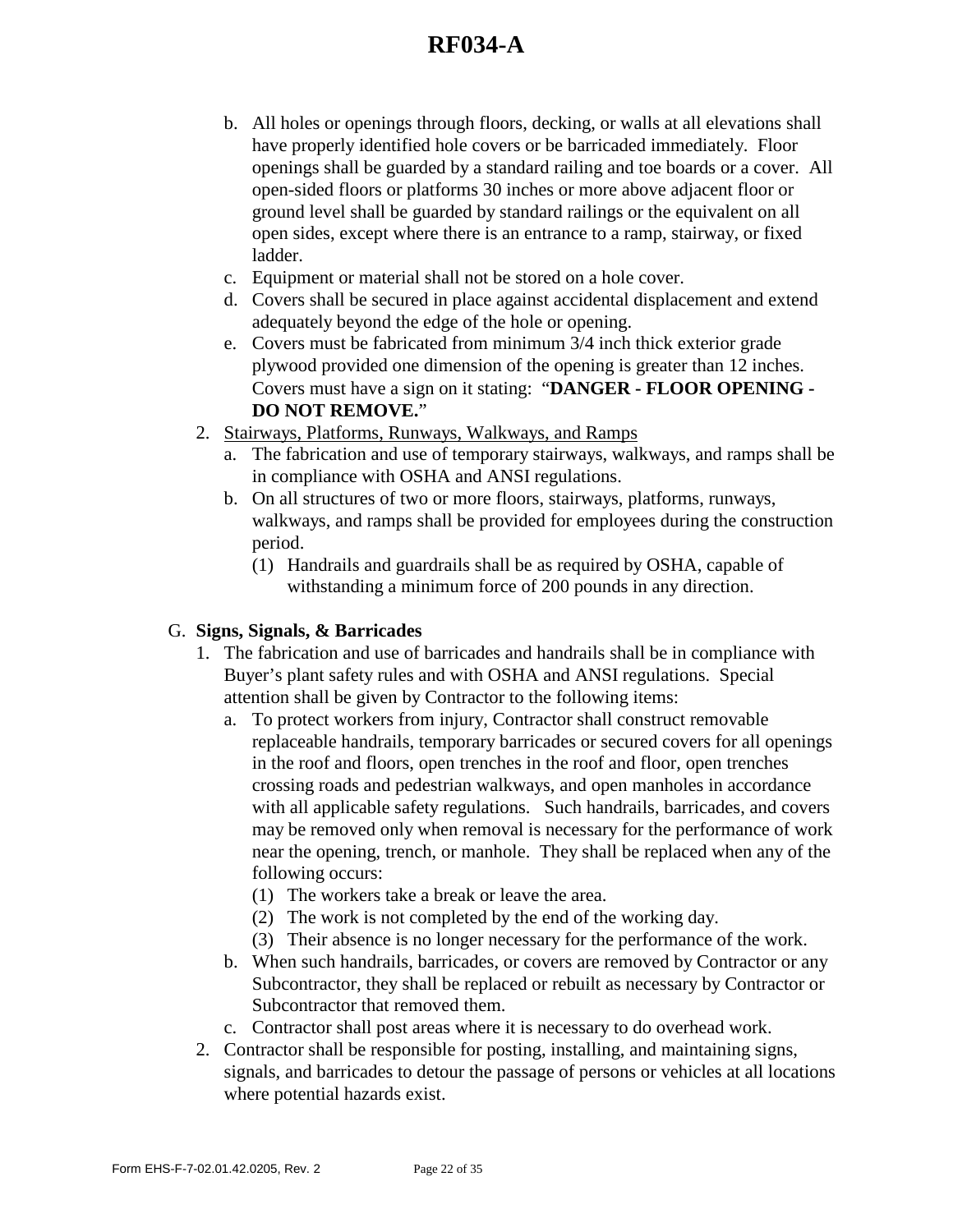- b. All holes or openings through floors, decking, or walls at all elevations shall have properly identified hole covers or be barricaded immediately. Floor openings shall be guarded by a standard railing and toe boards or a cover. All open-sided floors or platforms 30 inches or more above adjacent floor or ground level shall be guarded by standard railings or the equivalent on all open sides, except where there is an entrance to a ramp, stairway, or fixed ladder.
- c. Equipment or material shall not be stored on a hole cover.
- d. Covers shall be secured in place against accidental displacement and extend adequately beyond the edge of the hole or opening.
- e. Covers must be fabricated from minimum 3/4 inch thick exterior grade plywood provided one dimension of the opening is greater than 12 inches. Covers must have a sign on it stating: "**DANGER - FLOOR OPENING - DO NOT REMOVE.**"
- 2. Stairways, Platforms, Runways, Walkways, and Ramps
	- a. The fabrication and use of temporary stairways, walkways, and ramps shall be in compliance with OSHA and ANSI regulations.
	- b. On all structures of two or more floors, stairways, platforms, runways, walkways, and ramps shall be provided for employees during the construction period.
		- (1) Handrails and guardrails shall be as required by OSHA, capable of withstanding a minimum force of 200 pounds in any direction.

## G. **Signs, Signals, & Barricades**

- 1. The fabrication and use of barricades and handrails shall be in compliance with Buyer's plant safety rules and with OSHA and ANSI regulations. Special attention shall be given by Contractor to the following items:
	- a. To protect workers from injury, Contractor shall construct removable replaceable handrails, temporary barricades or secured covers for all openings in the roof and floors, open trenches in the roof and floor, open trenches crossing roads and pedestrian walkways, and open manholes in accordance with all applicable safety regulations. Such handrails, barricades, and covers may be removed only when removal is necessary for the performance of work near the opening, trench, or manhole. They shall be replaced when any of the following occurs:
		- (1) The workers take a break or leave the area.
		- (2) The work is not completed by the end of the working day.
		- (3) Their absence is no longer necessary for the performance of the work.
	- b. When such handrails, barricades, or covers are removed by Contractor or any Subcontractor, they shall be replaced or rebuilt as necessary by Contractor or Subcontractor that removed them.
	- c. Contractor shall post areas where it is necessary to do overhead work.
- 2. Contractor shall be responsible for posting, installing, and maintaining signs, signals, and barricades to detour the passage of persons or vehicles at all locations where potential hazards exist.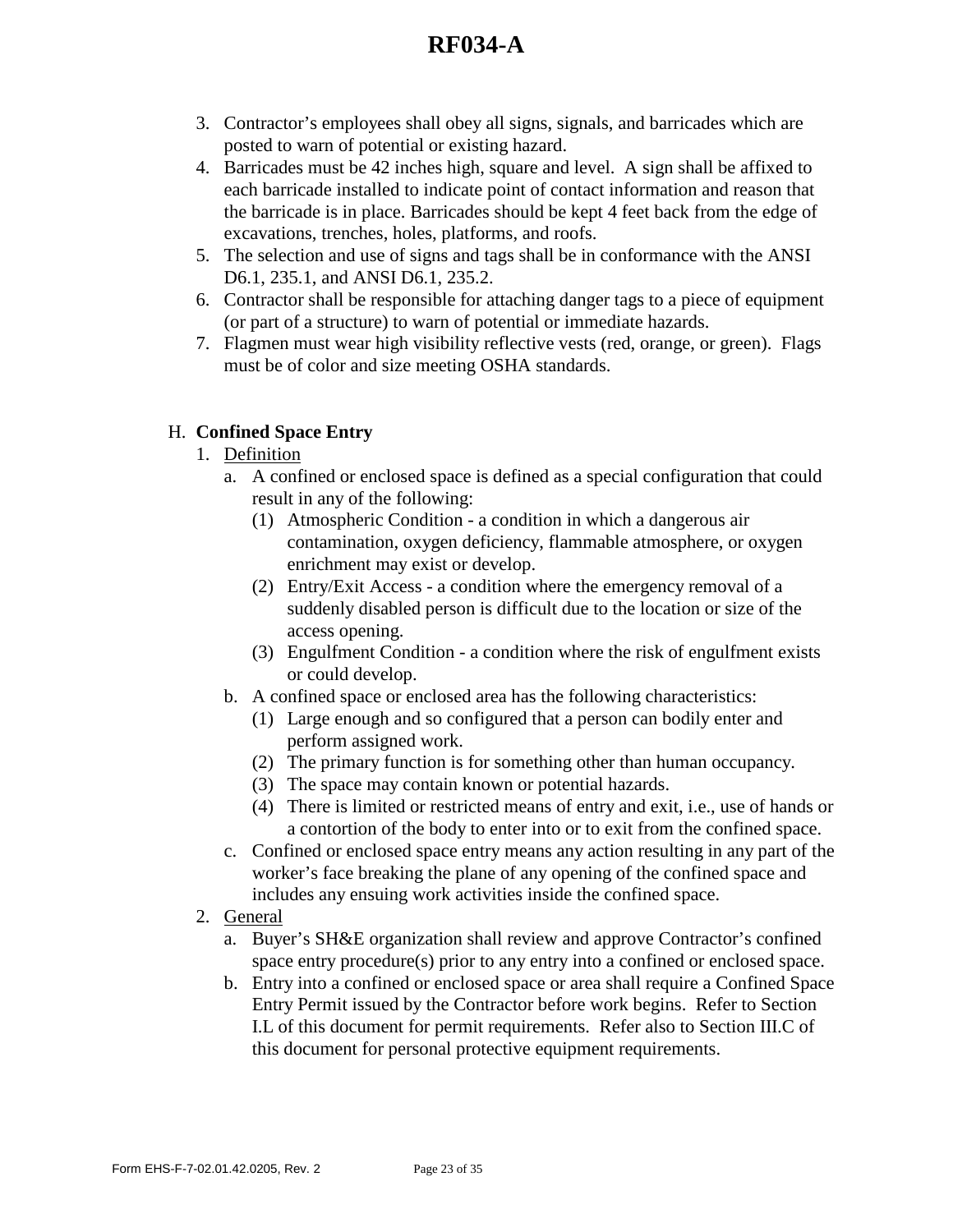- 3. Contractor's employees shall obey all signs, signals, and barricades which are posted to warn of potential or existing hazard.
- 4. Barricades must be 42 inches high, square and level. A sign shall be affixed to each barricade installed to indicate point of contact information and reason that the barricade is in place. Barricades should be kept 4 feet back from the edge of excavations, trenches, holes, platforms, and roofs.
- 5. The selection and use of signs and tags shall be in conformance with the ANSI D6.1, 235.1, and ANSI D6.1, 235.2.
- 6. Contractor shall be responsible for attaching danger tags to a piece of equipment (or part of a structure) to warn of potential or immediate hazards.
- 7. Flagmen must wear high visibility reflective vests (red, orange, or green). Flags must be of color and size meeting OSHA standards.

## H. **Confined Space Entry**

- 1. Definition
	- a. A confined or enclosed space is defined as a special configuration that could result in any of the following:
		- (1) Atmospheric Condition a condition in which a dangerous air contamination, oxygen deficiency, flammable atmosphere, or oxygen enrichment may exist or develop.
		- (2) Entry/Exit Access a condition where the emergency removal of a suddenly disabled person is difficult due to the location or size of the access opening.
		- (3) Engulfment Condition a condition where the risk of engulfment exists or could develop.
	- b. A confined space or enclosed area has the following characteristics:
		- (1) Large enough and so configured that a person can bodily enter and perform assigned work.
		- (2) The primary function is for something other than human occupancy.
		- (3) The space may contain known or potential hazards.
		- (4) There is limited or restricted means of entry and exit, i.e., use of hands or a contortion of the body to enter into or to exit from the confined space.
	- c. Confined or enclosed space entry means any action resulting in any part of the worker's face breaking the plane of any opening of the confined space and includes any ensuing work activities inside the confined space.
- 2. General
	- a. Buyer's SH&E organization shall review and approve Contractor's confined space entry procedure(s) prior to any entry into a confined or enclosed space.
	- b. Entry into a confined or enclosed space or area shall require a Confined Space Entry Permit issued by the Contractor before work begins. Refer to Section I.L of this document for permit requirements. Refer also to Section III.C of this document for personal protective equipment requirements.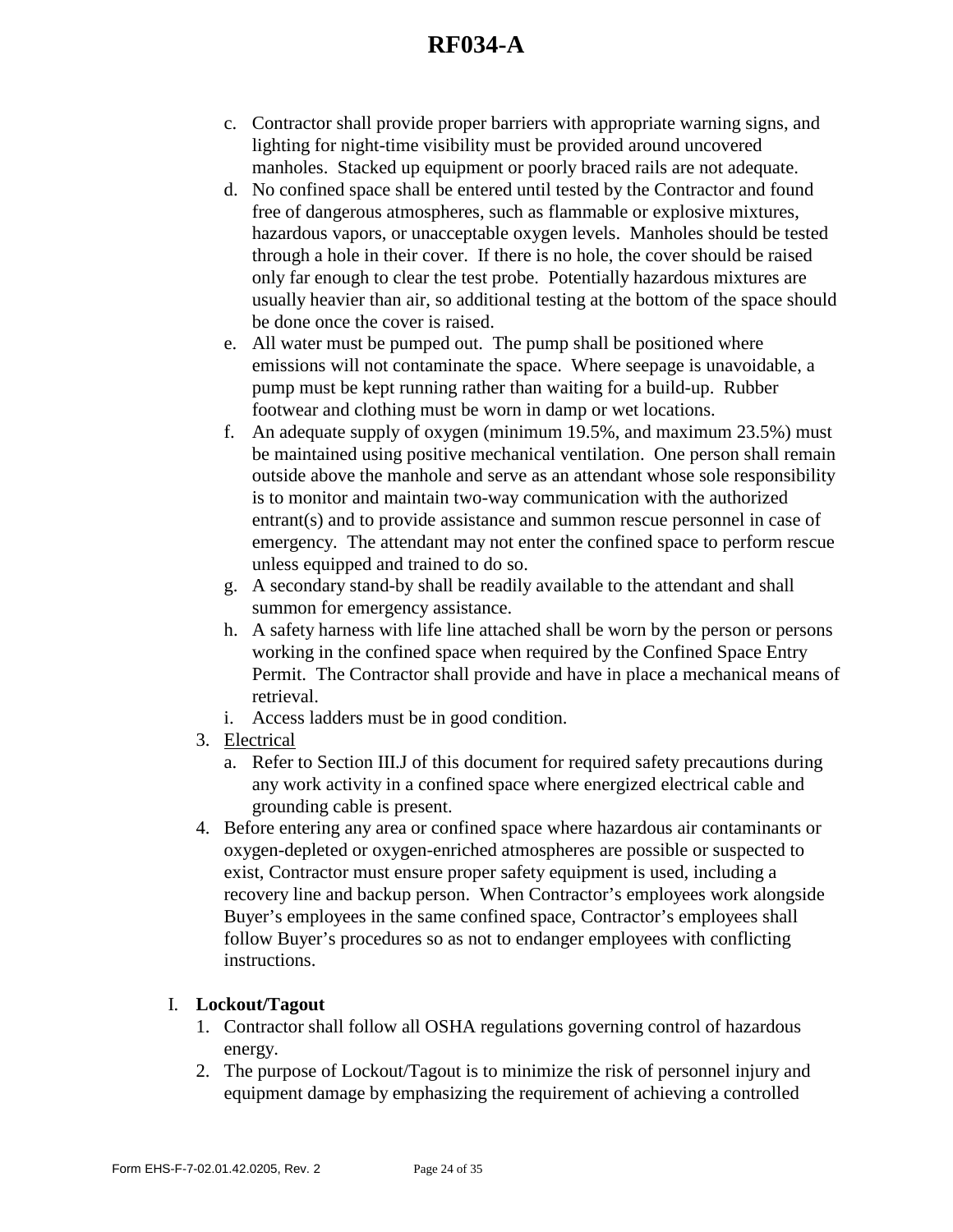- c. Contractor shall provide proper barriers with appropriate warning signs, and lighting for night-time visibility must be provided around uncovered manholes. Stacked up equipment or poorly braced rails are not adequate.
- d. No confined space shall be entered until tested by the Contractor and found free of dangerous atmospheres, such as flammable or explosive mixtures, hazardous vapors, or unacceptable oxygen levels. Manholes should be tested through a hole in their cover. If there is no hole, the cover should be raised only far enough to clear the test probe. Potentially hazardous mixtures are usually heavier than air, so additional testing at the bottom of the space should be done once the cover is raised.
- e. All water must be pumped out. The pump shall be positioned where emissions will not contaminate the space. Where seepage is unavoidable, a pump must be kept running rather than waiting for a build-up. Rubber footwear and clothing must be worn in damp or wet locations.
- f. An adequate supply of oxygen (minimum 19.5%, and maximum 23.5%) must be maintained using positive mechanical ventilation. One person shall remain outside above the manhole and serve as an attendant whose sole responsibility is to monitor and maintain two-way communication with the authorized entrant(s) and to provide assistance and summon rescue personnel in case of emergency. The attendant may not enter the confined space to perform rescue unless equipped and trained to do so.
- g. A secondary stand-by shall be readily available to the attendant and shall summon for emergency assistance.
- h. A safety harness with life line attached shall be worn by the person or persons working in the confined space when required by the Confined Space Entry Permit. The Contractor shall provide and have in place a mechanical means of retrieval.
- i. Access ladders must be in good condition.
- 3. Electrical
	- a. Refer to Section III.J of this document for required safety precautions during any work activity in a confined space where energized electrical cable and grounding cable is present.
- 4. Before entering any area or confined space where hazardous air contaminants or oxygen-depleted or oxygen-enriched atmospheres are possible or suspected to exist, Contractor must ensure proper safety equipment is used, including a recovery line and backup person. When Contractor's employees work alongside Buyer's employees in the same confined space, Contractor's employees shall follow Buyer's procedures so as not to endanger employees with conflicting instructions.

## I. **Lockout/Tagout**

- 1. Contractor shall follow all OSHA regulations governing control of hazardous energy.
- 2. The purpose of Lockout/Tagout is to minimize the risk of personnel injury and equipment damage by emphasizing the requirement of achieving a controlled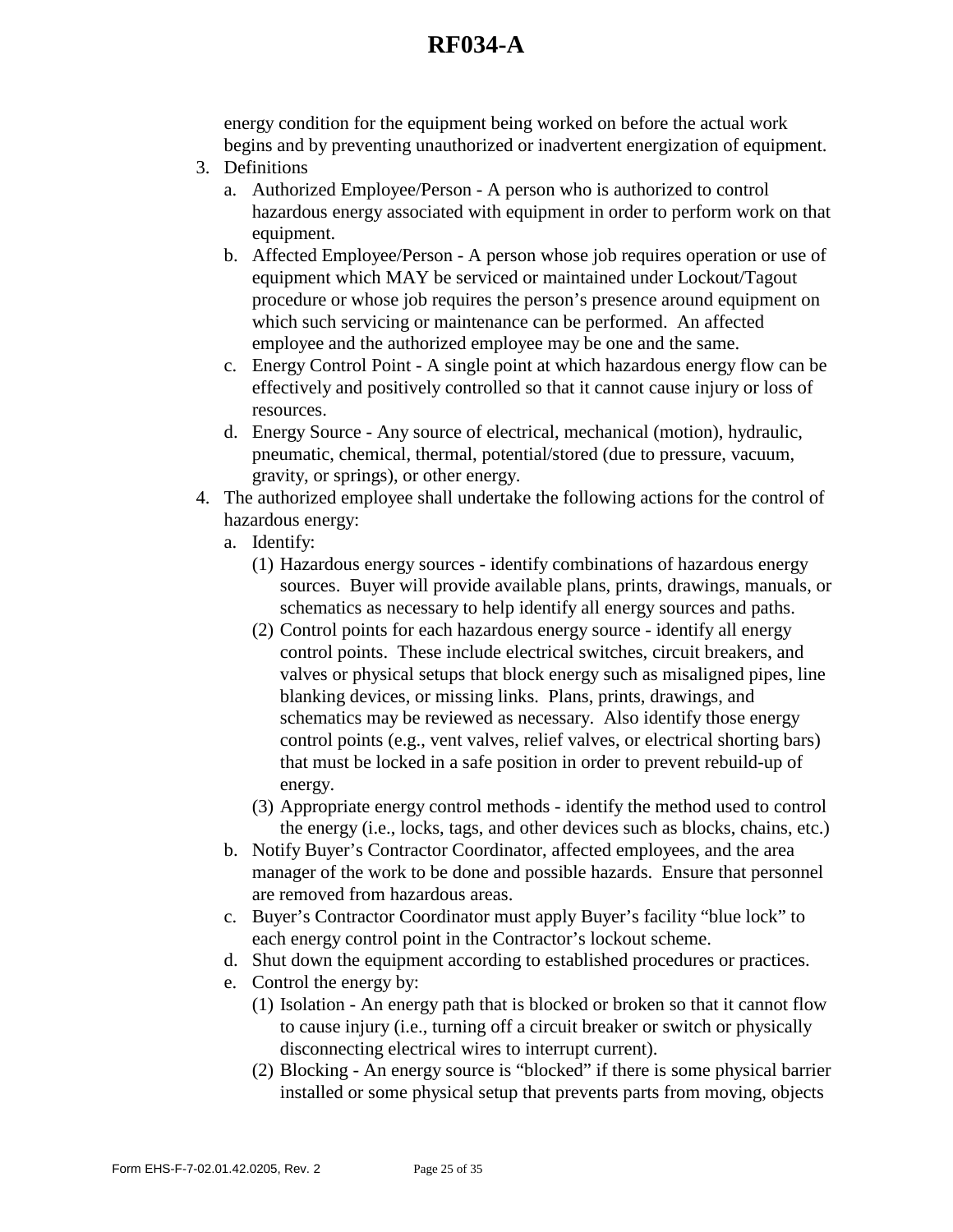energy condition for the equipment being worked on before the actual work begins and by preventing unauthorized or inadvertent energization of equipment.

- 3. Definitions
	- a. Authorized Employee/Person A person who is authorized to control hazardous energy associated with equipment in order to perform work on that equipment.
	- b. Affected Employee/Person A person whose job requires operation or use of equipment which MAY be serviced or maintained under Lockout/Tagout procedure or whose job requires the person's presence around equipment on which such servicing or maintenance can be performed. An affected employee and the authorized employee may be one and the same.
	- c. Energy Control Point A single point at which hazardous energy flow can be effectively and positively controlled so that it cannot cause injury or loss of resources.
	- d. Energy Source Any source of electrical, mechanical (motion), hydraulic, pneumatic, chemical, thermal, potential/stored (due to pressure, vacuum, gravity, or springs), or other energy.
- 4. The authorized employee shall undertake the following actions for the control of hazardous energy:
	- a. Identify:
		- (1) Hazardous energy sources identify combinations of hazardous energy sources. Buyer will provide available plans, prints, drawings, manuals, or schematics as necessary to help identify all energy sources and paths.
		- (2) Control points for each hazardous energy source identify all energy control points. These include electrical switches, circuit breakers, and valves or physical setups that block energy such as misaligned pipes, line blanking devices, or missing links. Plans, prints, drawings, and schematics may be reviewed as necessary. Also identify those energy control points (e.g., vent valves, relief valves, or electrical shorting bars) that must be locked in a safe position in order to prevent rebuild-up of energy.
		- (3) Appropriate energy control methods identify the method used to control the energy (i.e., locks, tags, and other devices such as blocks, chains, etc.)
	- b. Notify Buyer's Contractor Coordinator, affected employees, and the area manager of the work to be done and possible hazards. Ensure that personnel are removed from hazardous areas.
	- c. Buyer's Contractor Coordinator must apply Buyer's facility "blue lock" to each energy control point in the Contractor's lockout scheme.
	- d. Shut down the equipment according to established procedures or practices.
	- e. Control the energy by:
		- (1) Isolation An energy path that is blocked or broken so that it cannot flow to cause injury (i.e., turning off a circuit breaker or switch or physically disconnecting electrical wires to interrupt current).
		- (2) Blocking An energy source is "blocked" if there is some physical barrier installed or some physical setup that prevents parts from moving, objects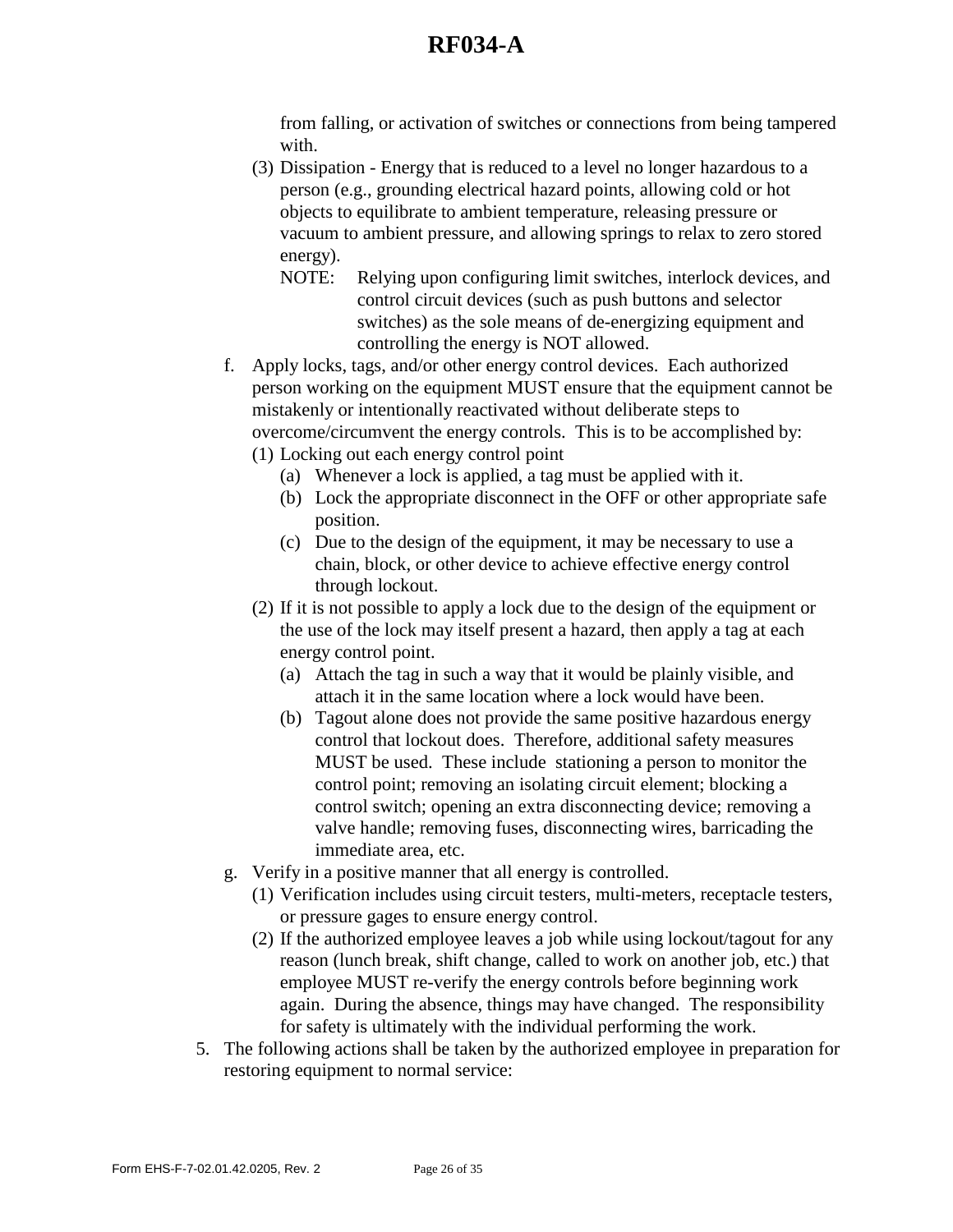from falling, or activation of switches or connections from being tampered with.

- (3) Dissipation Energy that is reduced to a level no longer hazardous to a person (e.g., grounding electrical hazard points, allowing cold or hot objects to equilibrate to ambient temperature, releasing pressure or vacuum to ambient pressure, and allowing springs to relax to zero stored energy).
	- NOTE: Relying upon configuring limit switches, interlock devices, and control circuit devices (such as push buttons and selector switches) as the sole means of de-energizing equipment and controlling the energy is NOT allowed.
- f. Apply locks, tags, and/or other energy control devices. Each authorized person working on the equipment MUST ensure that the equipment cannot be mistakenly or intentionally reactivated without deliberate steps to overcome/circumvent the energy controls. This is to be accomplished by:
	- (1) Locking out each energy control point
		- (a) Whenever a lock is applied, a tag must be applied with it.
		- (b) Lock the appropriate disconnect in the OFF or other appropriate safe position.
		- (c) Due to the design of the equipment, it may be necessary to use a chain, block, or other device to achieve effective energy control through lockout.
	- (2) If it is not possible to apply a lock due to the design of the equipment or the use of the lock may itself present a hazard, then apply a tag at each energy control point.
		- (a) Attach the tag in such a way that it would be plainly visible, and attach it in the same location where a lock would have been.
		- (b) Tagout alone does not provide the same positive hazardous energy control that lockout does. Therefore, additional safety measures MUST be used. These include stationing a person to monitor the control point; removing an isolating circuit element; blocking a control switch; opening an extra disconnecting device; removing a valve handle; removing fuses, disconnecting wires, barricading the immediate area, etc.
- g. Verify in a positive manner that all energy is controlled.
	- (1) Verification includes using circuit testers, multi-meters, receptacle testers, or pressure gages to ensure energy control.
	- (2) If the authorized employee leaves a job while using lockout/tagout for any reason (lunch break, shift change, called to work on another job, etc.) that employee MUST re-verify the energy controls before beginning work again. During the absence, things may have changed. The responsibility for safety is ultimately with the individual performing the work.
- 5. The following actions shall be taken by the authorized employee in preparation for restoring equipment to normal service: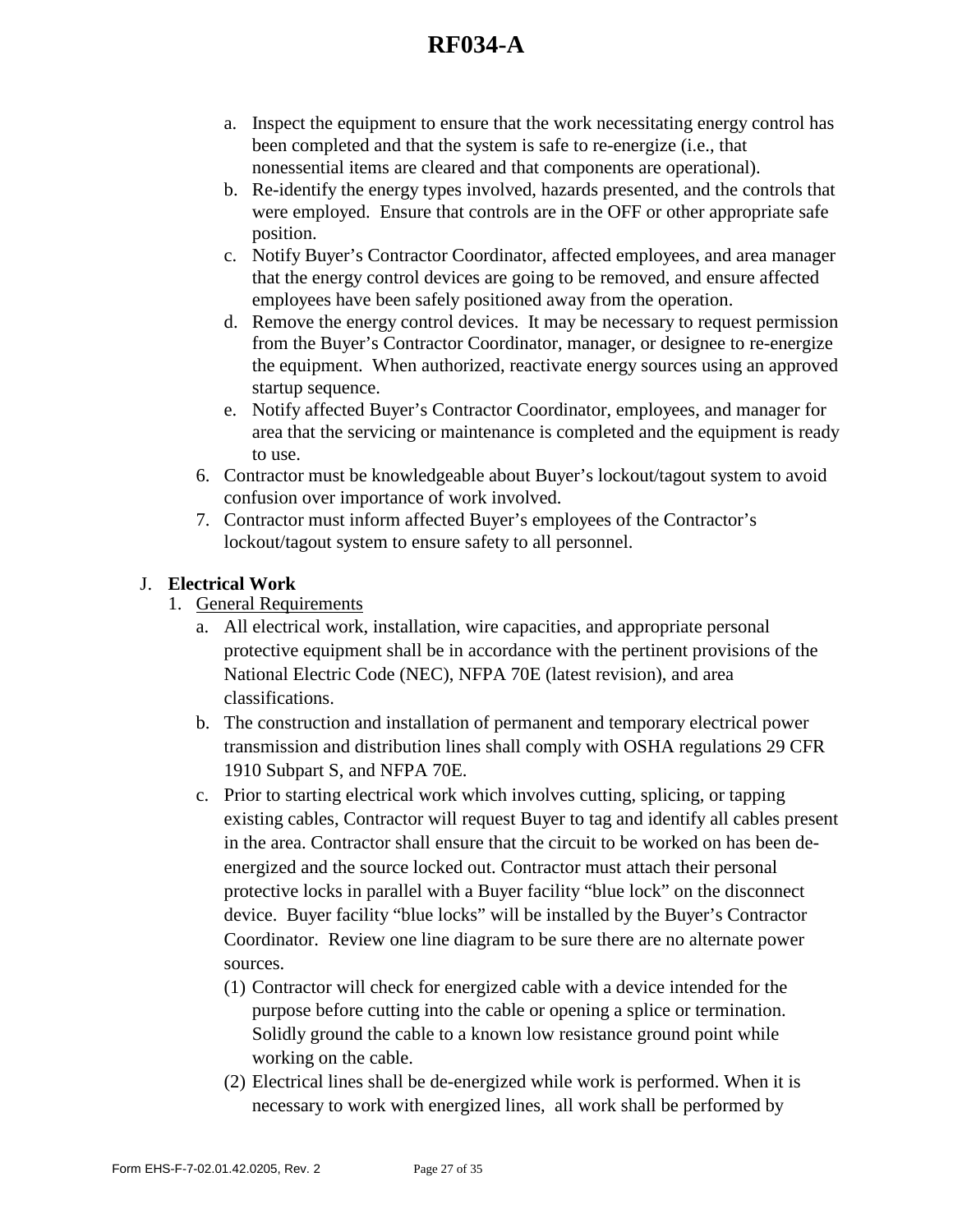- a. Inspect the equipment to ensure that the work necessitating energy control has been completed and that the system is safe to re-energize (i.e., that nonessential items are cleared and that components are operational).
- b. Re-identify the energy types involved, hazards presented, and the controls that were employed. Ensure that controls are in the OFF or other appropriate safe position.
- c. Notify Buyer's Contractor Coordinator, affected employees, and area manager that the energy control devices are going to be removed, and ensure affected employees have been safely positioned away from the operation.
- d. Remove the energy control devices. It may be necessary to request permission from the Buyer's Contractor Coordinator, manager, or designee to re-energize the equipment. When authorized, reactivate energy sources using an approved startup sequence.
- e. Notify affected Buyer's Contractor Coordinator, employees, and manager for area that the servicing or maintenance is completed and the equipment is ready to use.
- 6. Contractor must be knowledgeable about Buyer's lockout/tagout system to avoid confusion over importance of work involved.
- 7. Contractor must inform affected Buyer's employees of the Contractor's lockout/tagout system to ensure safety to all personnel.

## J. **Electrical Work**

- 1. General Requirements
	- a. All electrical work, installation, wire capacities, and appropriate personal protective equipment shall be in accordance with the pertinent provisions of the National Electric Code (NEC), NFPA 70E (latest revision), and area classifications.
	- b. The construction and installation of permanent and temporary electrical power transmission and distribution lines shall comply with OSHA regulations 29 CFR 1910 Subpart S, and NFPA 70E.
	- c. Prior to starting electrical work which involves cutting, splicing, or tapping existing cables, Contractor will request Buyer to tag and identify all cables present in the area. Contractor shall ensure that the circuit to be worked on has been deenergized and the source locked out. Contractor must attach their personal protective locks in parallel with a Buyer facility "blue lock" on the disconnect device. Buyer facility "blue locks" will be installed by the Buyer's Contractor Coordinator. Review one line diagram to be sure there are no alternate power sources.
		- (1) Contractor will check for energized cable with a device intended for the purpose before cutting into the cable or opening a splice or termination. Solidly ground the cable to a known low resistance ground point while working on the cable.
		- (2) Electrical lines shall be de-energized while work is performed. When it is necessary to work with energized lines, all work shall be performed by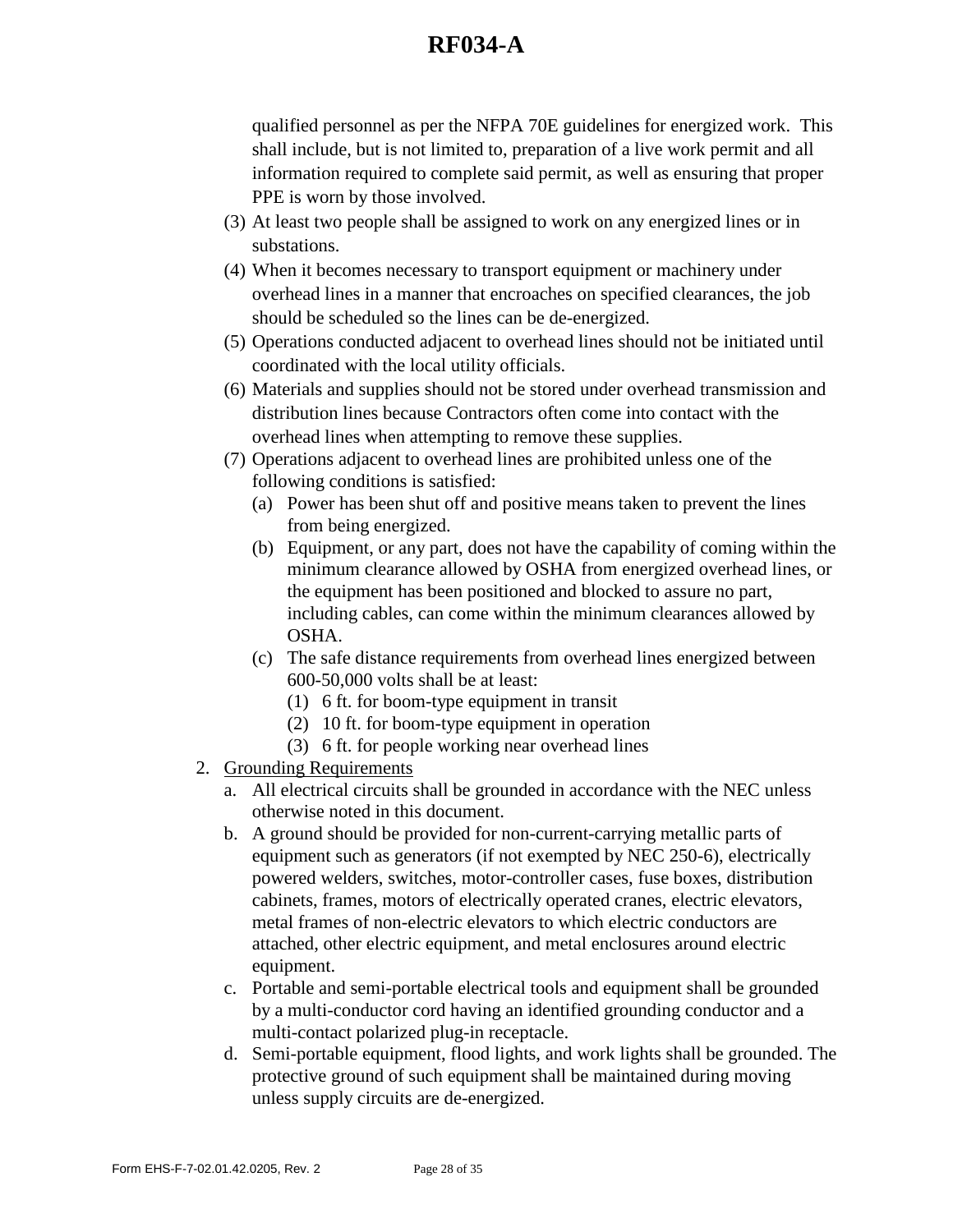qualified personnel as per the NFPA 70E guidelines for energized work. This shall include, but is not limited to, preparation of a live work permit and all information required to complete said permit, as well as ensuring that proper PPE is worn by those involved.

- (3) At least two people shall be assigned to work on any energized lines or in substations.
- (4) When it becomes necessary to transport equipment or machinery under overhead lines in a manner that encroaches on specified clearances, the job should be scheduled so the lines can be de-energized.
- (5) Operations conducted adjacent to overhead lines should not be initiated until coordinated with the local utility officials.
- (6) Materials and supplies should not be stored under overhead transmission and distribution lines because Contractors often come into contact with the overhead lines when attempting to remove these supplies.
- (7) Operations adjacent to overhead lines are prohibited unless one of the following conditions is satisfied:
	- (a) Power has been shut off and positive means taken to prevent the lines from being energized.
	- (b) Equipment, or any part, does not have the capability of coming within the minimum clearance allowed by OSHA from energized overhead lines, or the equipment has been positioned and blocked to assure no part, including cables, can come within the minimum clearances allowed by OSHA.
	- (c) The safe distance requirements from overhead lines energized between 600-50,000 volts shall be at least:
		- (1) 6 ft. for boom-type equipment in transit
		- (2) 10 ft. for boom-type equipment in operation
		- (3) 6 ft. for people working near overhead lines
- 2. Grounding Requirements
	- a. All electrical circuits shall be grounded in accordance with the NEC unless otherwise noted in this document.
	- b. A ground should be provided for non-current-carrying metallic parts of equipment such as generators (if not exempted by NEC 250-6), electrically powered welders, switches, motor-controller cases, fuse boxes, distribution cabinets, frames, motors of electrically operated cranes, electric elevators, metal frames of non-electric elevators to which electric conductors are attached, other electric equipment, and metal enclosures around electric equipment.
	- c. Portable and semi-portable electrical tools and equipment shall be grounded by a multi-conductor cord having an identified grounding conductor and a multi-contact polarized plug-in receptacle.
	- d. Semi-portable equipment, flood lights, and work lights shall be grounded. The protective ground of such equipment shall be maintained during moving unless supply circuits are de-energized.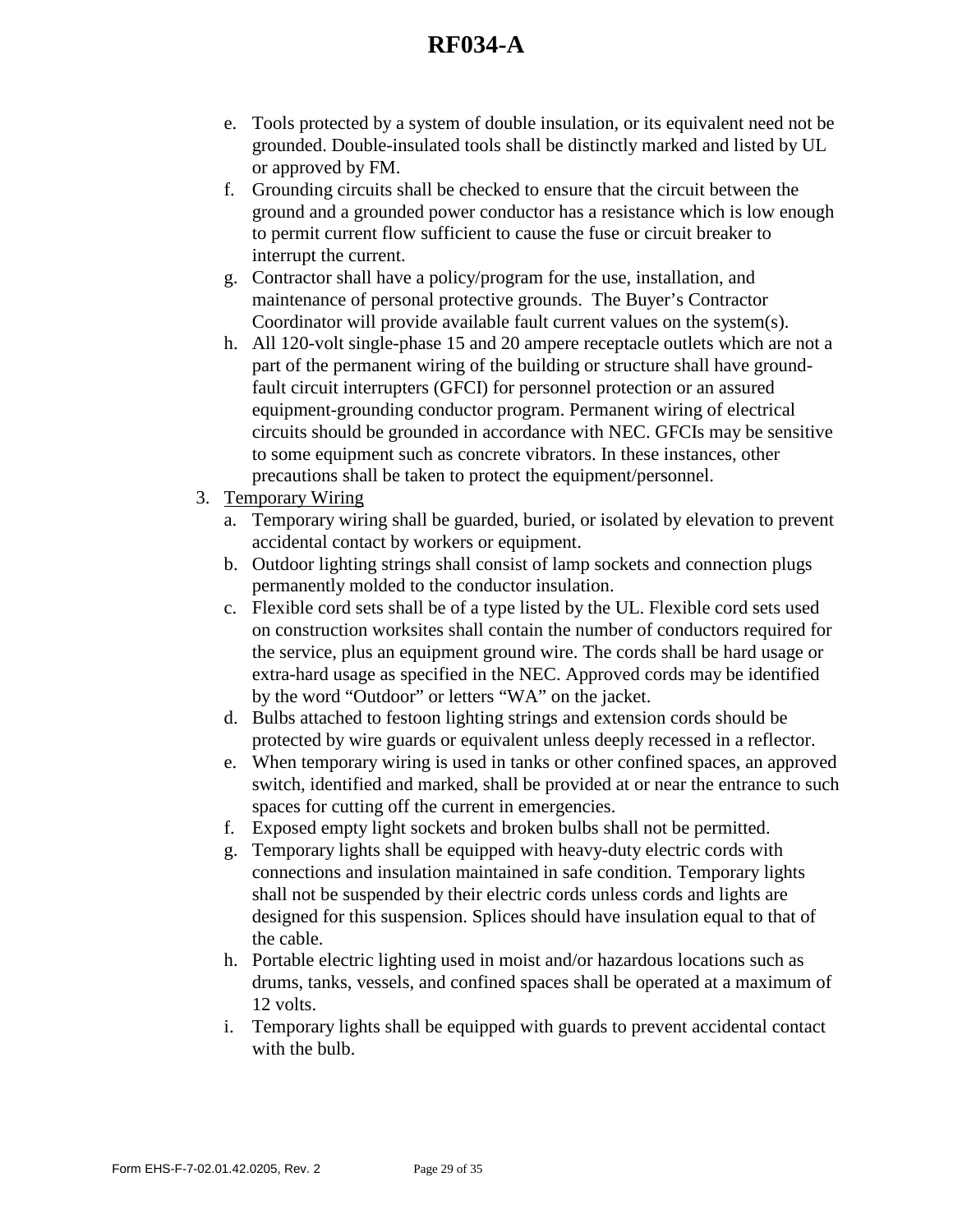- e. Tools protected by a system of double insulation, or its equivalent need not be grounded. Double-insulated tools shall be distinctly marked and listed by UL or approved by FM.
- f. Grounding circuits shall be checked to ensure that the circuit between the ground and a grounded power conductor has a resistance which is low enough to permit current flow sufficient to cause the fuse or circuit breaker to interrupt the current.
- g. Contractor shall have a policy/program for the use, installation, and maintenance of personal protective grounds. The Buyer's Contractor Coordinator will provide available fault current values on the system(s).
- h. All 120-volt single-phase 15 and 20 ampere receptacle outlets which are not a part of the permanent wiring of the building or structure shall have groundfault circuit interrupters (GFCI) for personnel protection or an assured equipment-grounding conductor program. Permanent wiring of electrical circuits should be grounded in accordance with NEC. GFCIs may be sensitive to some equipment such as concrete vibrators. In these instances, other precautions shall be taken to protect the equipment/personnel.
- 3. Temporary Wiring
	- a. Temporary wiring shall be guarded, buried, or isolated by elevation to prevent accidental contact by workers or equipment.
	- b. Outdoor lighting strings shall consist of lamp sockets and connection plugs permanently molded to the conductor insulation.
	- c. Flexible cord sets shall be of a type listed by the UL. Flexible cord sets used on construction worksites shall contain the number of conductors required for the service, plus an equipment ground wire. The cords shall be hard usage or extra-hard usage as specified in the NEC. Approved cords may be identified by the word "Outdoor" or letters "WA" on the jacket.
	- d. Bulbs attached to festoon lighting strings and extension cords should be protected by wire guards or equivalent unless deeply recessed in a reflector.
	- e. When temporary wiring is used in tanks or other confined spaces, an approved switch, identified and marked, shall be provided at or near the entrance to such spaces for cutting off the current in emergencies.
	- f. Exposed empty light sockets and broken bulbs shall not be permitted.
	- g. Temporary lights shall be equipped with heavy-duty electric cords with connections and insulation maintained in safe condition. Temporary lights shall not be suspended by their electric cords unless cords and lights are designed for this suspension. Splices should have insulation equal to that of the cable.
	- h. Portable electric lighting used in moist and/or hazardous locations such as drums, tanks, vessels, and confined spaces shall be operated at a maximum of 12 volts.
	- i. Temporary lights shall be equipped with guards to prevent accidental contact with the bulb.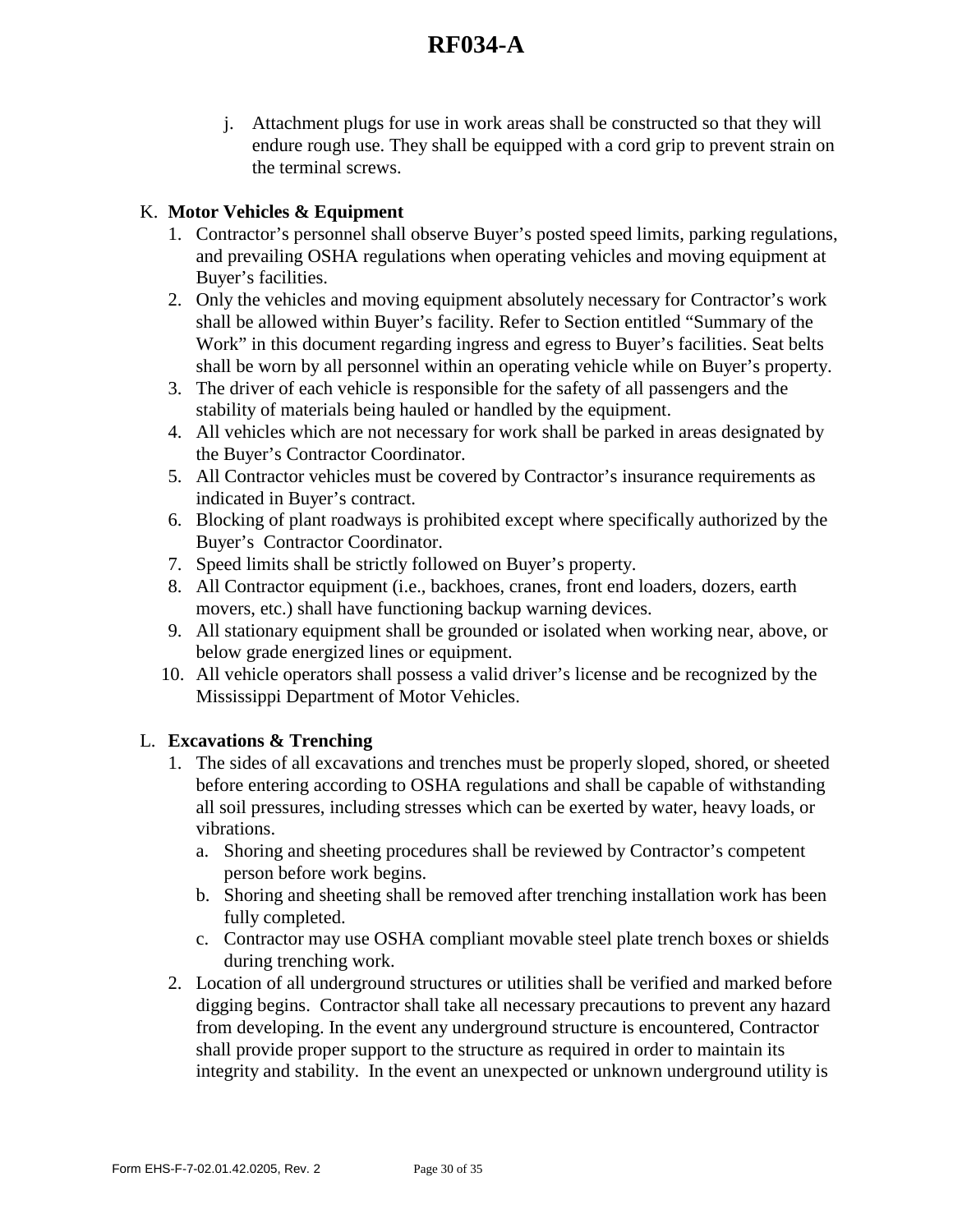j. Attachment plugs for use in work areas shall be constructed so that they will endure rough use. They shall be equipped with a cord grip to prevent strain on the terminal screws.

### K. **Motor Vehicles & Equipment**

- 1. Contractor's personnel shall observe Buyer's posted speed limits, parking regulations, and prevailing OSHA regulations when operating vehicles and moving equipment at Buyer's facilities.
- 2. Only the vehicles and moving equipment absolutely necessary for Contractor's work shall be allowed within Buyer's facility. Refer to Section entitled "Summary of the Work" in this document regarding ingress and egress to Buyer's facilities. Seat belts shall be worn by all personnel within an operating vehicle while on Buyer's property.
- 3. The driver of each vehicle is responsible for the safety of all passengers and the stability of materials being hauled or handled by the equipment.
- 4. All vehicles which are not necessary for work shall be parked in areas designated by the Buyer's Contractor Coordinator.
- 5. All Contractor vehicles must be covered by Contractor's insurance requirements as indicated in Buyer's contract.
- 6. Blocking of plant roadways is prohibited except where specifically authorized by the Buyer's Contractor Coordinator.
- 7. Speed limits shall be strictly followed on Buyer's property.
- 8. All Contractor equipment (i.e., backhoes, cranes, front end loaders, dozers, earth movers, etc.) shall have functioning backup warning devices.
- 9. All stationary equipment shall be grounded or isolated when working near, above, or below grade energized lines or equipment.
- 10. All vehicle operators shall possess a valid driver's license and be recognized by the Mississippi Department of Motor Vehicles.

### L. **Excavations & Trenching**

- 1. The sides of all excavations and trenches must be properly sloped, shored, or sheeted before entering according to OSHA regulations and shall be capable of withstanding all soil pressures, including stresses which can be exerted by water, heavy loads, or vibrations.
	- a. Shoring and sheeting procedures shall be reviewed by Contractor's competent person before work begins.
	- b. Shoring and sheeting shall be removed after trenching installation work has been fully completed.
	- c. Contractor may use OSHA compliant movable steel plate trench boxes or shields during trenching work.
- 2. Location of all underground structures or utilities shall be verified and marked before digging begins. Contractor shall take all necessary precautions to prevent any hazard from developing. In the event any underground structure is encountered, Contractor shall provide proper support to the structure as required in order to maintain its integrity and stability. In the event an unexpected or unknown underground utility is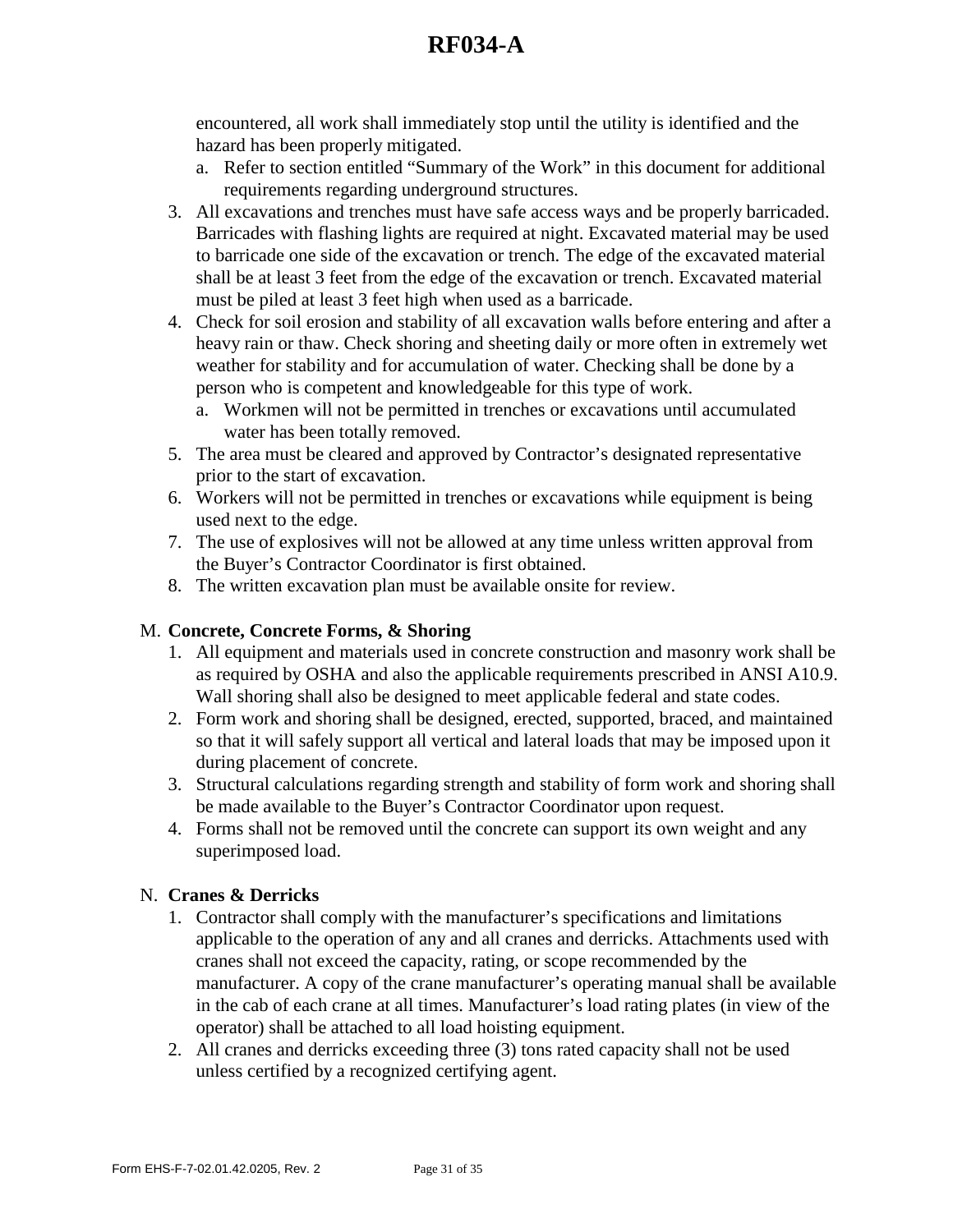encountered, all work shall immediately stop until the utility is identified and the hazard has been properly mitigated.

- a. Refer to section entitled "Summary of the Work" in this document for additional requirements regarding underground structures.
- 3. All excavations and trenches must have safe access ways and be properly barricaded. Barricades with flashing lights are required at night. Excavated material may be used to barricade one side of the excavation or trench. The edge of the excavated material shall be at least 3 feet from the edge of the excavation or trench. Excavated material must be piled at least 3 feet high when used as a barricade.
- 4. Check for soil erosion and stability of all excavation walls before entering and after a heavy rain or thaw. Check shoring and sheeting daily or more often in extremely wet weather for stability and for accumulation of water. Checking shall be done by a person who is competent and knowledgeable for this type of work.
	- a. Workmen will not be permitted in trenches or excavations until accumulated water has been totally removed.
- 5. The area must be cleared and approved by Contractor's designated representative prior to the start of excavation.
- 6. Workers will not be permitted in trenches or excavations while equipment is being used next to the edge.
- 7. The use of explosives will not be allowed at any time unless written approval from the Buyer's Contractor Coordinator is first obtained.
- 8. The written excavation plan must be available onsite for review.

### M. **Concrete, Concrete Forms, & Shoring**

- 1. All equipment and materials used in concrete construction and masonry work shall be as required by OSHA and also the applicable requirements prescribed in ANSI A10.9. Wall shoring shall also be designed to meet applicable federal and state codes.
- 2. Form work and shoring shall be designed, erected, supported, braced, and maintained so that it will safely support all vertical and lateral loads that may be imposed upon it during placement of concrete.
- 3. Structural calculations regarding strength and stability of form work and shoring shall be made available to the Buyer's Contractor Coordinator upon request.
- 4. Forms shall not be removed until the concrete can support its own weight and any superimposed load.

### N. **Cranes & Derricks**

- 1. Contractor shall comply with the manufacturer's specifications and limitations applicable to the operation of any and all cranes and derricks. Attachments used with cranes shall not exceed the capacity, rating, or scope recommended by the manufacturer. A copy of the crane manufacturer's operating manual shall be available in the cab of each crane at all times. Manufacturer's load rating plates (in view of the operator) shall be attached to all load hoisting equipment.
- 2. All cranes and derricks exceeding three (3) tons rated capacity shall not be used unless certified by a recognized certifying agent.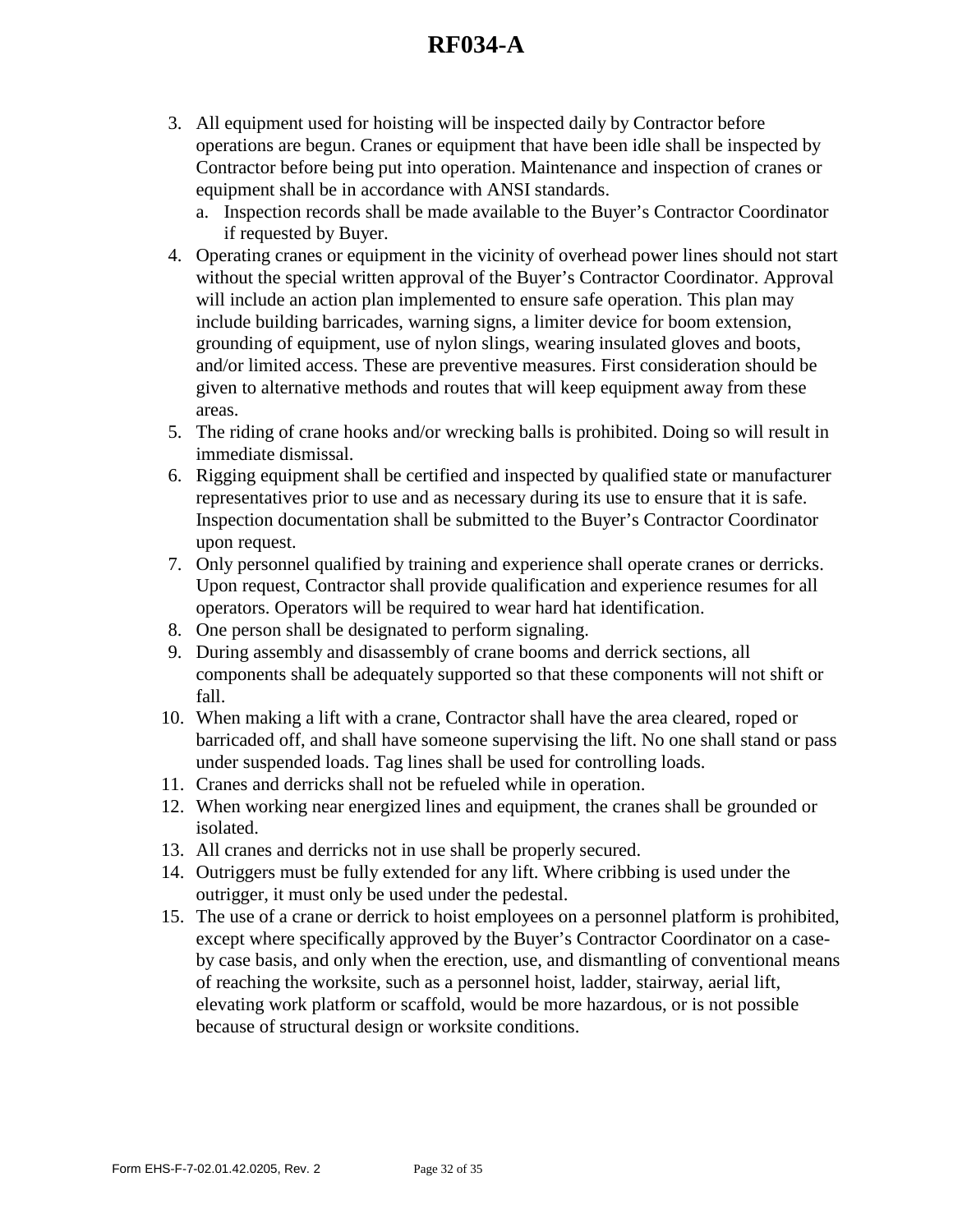- 3. All equipment used for hoisting will be inspected daily by Contractor before operations are begun. Cranes or equipment that have been idle shall be inspected by Contractor before being put into operation. Maintenance and inspection of cranes or equipment shall be in accordance with ANSI standards.
	- a. Inspection records shall be made available to the Buyer's Contractor Coordinator if requested by Buyer.
- 4. Operating cranes or equipment in the vicinity of overhead power lines should not start without the special written approval of the Buyer's Contractor Coordinator. Approval will include an action plan implemented to ensure safe operation. This plan may include building barricades, warning signs, a limiter device for boom extension, grounding of equipment, use of nylon slings, wearing insulated gloves and boots, and/or limited access. These are preventive measures. First consideration should be given to alternative methods and routes that will keep equipment away from these areas.
- 5. The riding of crane hooks and/or wrecking balls is prohibited. Doing so will result in immediate dismissal.
- 6. Rigging equipment shall be certified and inspected by qualified state or manufacturer representatives prior to use and as necessary during its use to ensure that it is safe. Inspection documentation shall be submitted to the Buyer's Contractor Coordinator upon request.
- 7. Only personnel qualified by training and experience shall operate cranes or derricks. Upon request, Contractor shall provide qualification and experience resumes for all operators. Operators will be required to wear hard hat identification.
- 8. One person shall be designated to perform signaling.
- 9. During assembly and disassembly of crane booms and derrick sections, all components shall be adequately supported so that these components will not shift or fall.
- 10. When making a lift with a crane, Contractor shall have the area cleared, roped or barricaded off, and shall have someone supervising the lift. No one shall stand or pass under suspended loads. Tag lines shall be used for controlling loads.
- 11. Cranes and derricks shall not be refueled while in operation.
- 12. When working near energized lines and equipment, the cranes shall be grounded or isolated.
- 13. All cranes and derricks not in use shall be properly secured.
- 14. Outriggers must be fully extended for any lift. Where cribbing is used under the outrigger, it must only be used under the pedestal.
- 15. The use of a crane or derrick to hoist employees on a personnel platform is prohibited, except where specifically approved by the Buyer's Contractor Coordinator on a caseby case basis, and only when the erection, use, and dismantling of conventional means of reaching the worksite, such as a personnel hoist, ladder, stairway, aerial lift, elevating work platform or scaffold, would be more hazardous, or is not possible because of structural design or worksite conditions.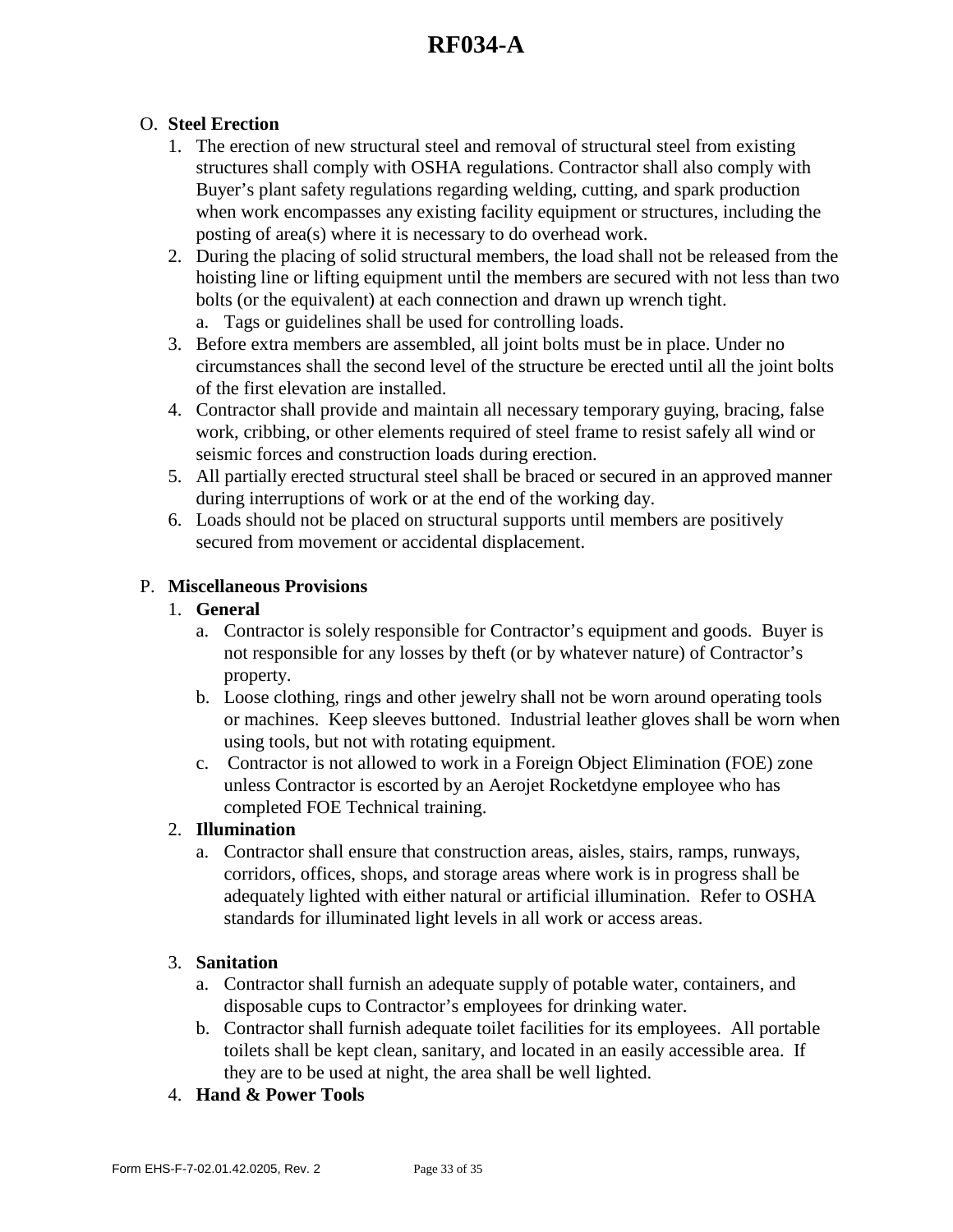## O. **Steel Erection**

- 1. The erection of new structural steel and removal of structural steel from existing structures shall comply with OSHA regulations. Contractor shall also comply with Buyer's plant safety regulations regarding welding, cutting, and spark production when work encompasses any existing facility equipment or structures, including the posting of area(s) where it is necessary to do overhead work.
- 2. During the placing of solid structural members, the load shall not be released from the hoisting line or lifting equipment until the members are secured with not less than two bolts (or the equivalent) at each connection and drawn up wrench tight.
	- a. Tags or guidelines shall be used for controlling loads.
- 3. Before extra members are assembled, all joint bolts must be in place. Under no circumstances shall the second level of the structure be erected until all the joint bolts of the first elevation are installed.
- 4. Contractor shall provide and maintain all necessary temporary guying, bracing, false work, cribbing, or other elements required of steel frame to resist safely all wind or seismic forces and construction loads during erection.
- 5. All partially erected structural steel shall be braced or secured in an approved manner during interruptions of work or at the end of the working day.
- 6. Loads should not be placed on structural supports until members are positively secured from movement or accidental displacement.

### P. **Miscellaneous Provisions**

#### 1. **General**

- a. Contractor is solely responsible for Contractor's equipment and goods. Buyer is not responsible for any losses by theft (or by whatever nature) of Contractor's property.
- b. Loose clothing, rings and other jewelry shall not be worn around operating tools or machines. Keep sleeves buttoned. Industrial leather gloves shall be worn when using tools, but not with rotating equipment.
- c. Contractor is not allowed to work in a Foreign Object Elimination (FOE) zone unless Contractor is escorted by an Aerojet Rocketdyne employee who has completed FOE Technical training.

### 2. **Illumination**

a. Contractor shall ensure that construction areas, aisles, stairs, ramps, runways, corridors, offices, shops, and storage areas where work is in progress shall be adequately lighted with either natural or artificial illumination. Refer to OSHA standards for illuminated light levels in all work or access areas.

### 3. **Sanitation**

- a. Contractor shall furnish an adequate supply of potable water, containers, and disposable cups to Contractor's employees for drinking water.
- b. Contractor shall furnish adequate toilet facilities for its employees. All portable toilets shall be kept clean, sanitary, and located in an easily accessible area. If they are to be used at night, the area shall be well lighted.
- 4. **Hand & Power Tools**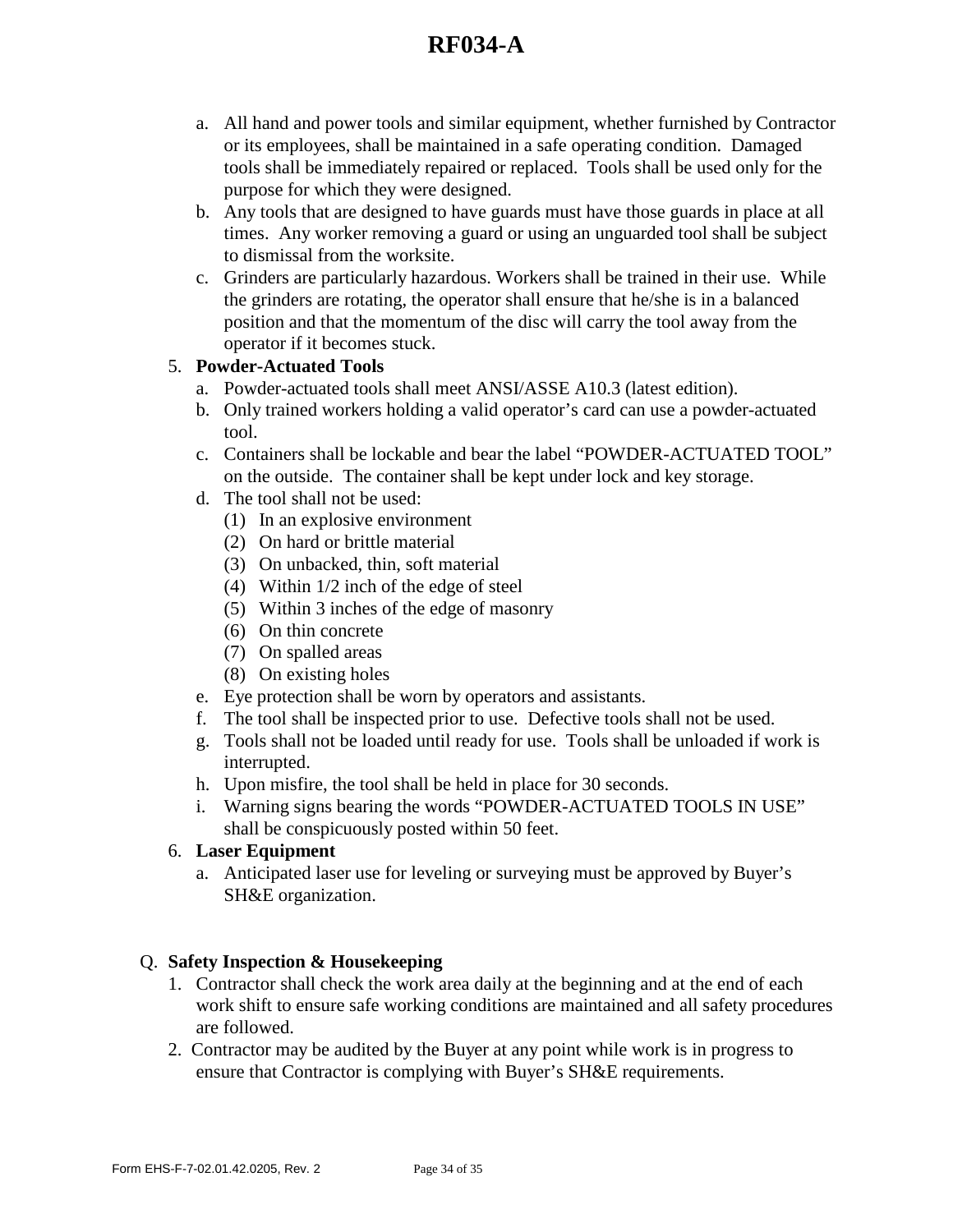- a. All hand and power tools and similar equipment, whether furnished by Contractor or its employees, shall be maintained in a safe operating condition. Damaged tools shall be immediately repaired or replaced. Tools shall be used only for the purpose for which they were designed.
- b. Any tools that are designed to have guards must have those guards in place at all times. Any worker removing a guard or using an unguarded tool shall be subject to dismissal from the worksite.
- c. Grinders are particularly hazardous. Workers shall be trained in their use. While the grinders are rotating, the operator shall ensure that he/she is in a balanced position and that the momentum of the disc will carry the tool away from the operator if it becomes stuck.

## 5. **Powder-Actuated Tools**

- a. Powder-actuated tools shall meet ANSI/ASSE A10.3 (latest edition).
- b. Only trained workers holding a valid operator's card can use a powder-actuated tool.
- c. Containers shall be lockable and bear the label "POWDER-ACTUATED TOOL" on the outside. The container shall be kept under lock and key storage.
- d. The tool shall not be used:
	- (1) In an explosive environment
	- (2) On hard or brittle material
	- (3) On unbacked, thin, soft material
	- (4) Within 1/2 inch of the edge of steel
	- (5) Within 3 inches of the edge of masonry
	- (6) On thin concrete
	- (7) On spalled areas
	- (8) On existing holes
- e. Eye protection shall be worn by operators and assistants.
- f. The tool shall be inspected prior to use. Defective tools shall not be used.
- g. Tools shall not be loaded until ready for use. Tools shall be unloaded if work is interrupted.
- h. Upon misfire, the tool shall be held in place for 30 seconds.
- i. Warning signs bearing the words "POWDER-ACTUATED TOOLS IN USE" shall be conspicuously posted within 50 feet.

## 6. **Laser Equipment**

a. Anticipated laser use for leveling or surveying must be approved by Buyer's SH&E organization.

## Q. **Safety Inspection & Housekeeping**

- 1. Contractor shall check the work area daily at the beginning and at the end of each work shift to ensure safe working conditions are maintained and all safety procedures are followed.
- 2. Contractor may be audited by the Buyer at any point while work is in progress to ensure that Contractor is complying with Buyer's SH&E requirements.